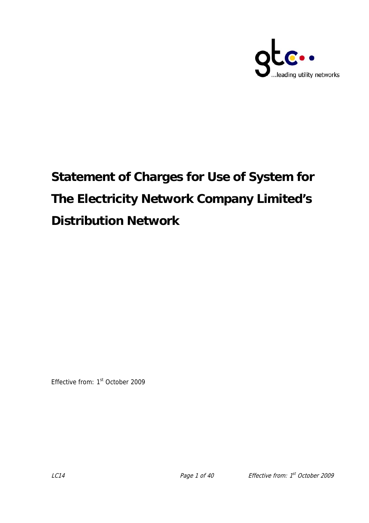

# **Statement of Charges for Use of System for The Electricity Network Company Limited's Distribution Network**

Effective from: 1<sup>st</sup> October 2009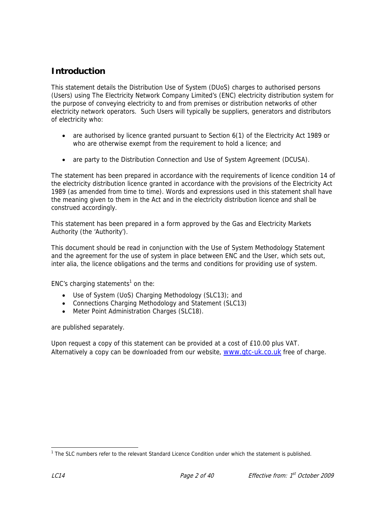# **Introduction**

This statement details the Distribution Use of System (DUoS) charges to authorised persons (Users) using The Electricity Network Company Limited's (ENC) electricity distribution system for the purpose of conveying electricity to and from premises or distribution networks of other electricity network operators. Such Users will typically be suppliers, generators and distributors of electricity who:

- are authorised by licence granted pursuant to Section 6(1) of the Electricity Act 1989 or who are otherwise exempt from the requirement to hold a licence; and
- are party to the Distribution Connection and Use of System Agreement (DCUSA).

The statement has been prepared in accordance with the requirements of licence condition 14 of the electricity distribution licence granted in accordance with the provisions of the Electricity Act 1989 (as amended from time to time). Words and expressions used in this statement shall have the meaning given to them in the Act and in the electricity distribution licence and shall be construed accordingly.

This statement has been prepared in a form approved by the Gas and Electricity Markets Authority (the 'Authority').

This document should be read in conjunction with the Use of System Methodology Statement and the agreement for the use of system in place between ENC and the User, which sets out, inter alia, the licence obligations and the terms and conditions for providing use of system.

ENC's charging statements<sup>1</sup> on the:

- Use of System (UoS) Charging Methodology (SLC13); and
- Connections Charging Methodology and Statement (SLC13)
- Meter Point Administration Charges (SLC18).

are published separately.

Upon request a copy of this statement can be provided at a cost of £10.00 plus VAT. Alternatively a copy can be downloaded from our website, www.gtc-uk.co.uk free of charge.

 $\overline{a}$ <sup>1</sup> The SLC numbers refer to the relevant Standard Licence Condition under which the statement is published.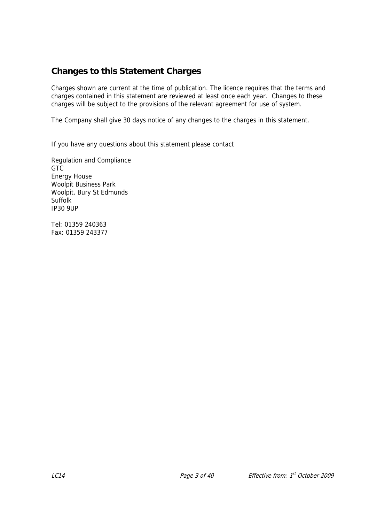# **Changes to this Statement Charges**

Charges shown are current at the time of publication. The licence requires that the terms and charges contained in this statement are reviewed at least once each year. Changes to these charges will be subject to the provisions of the relevant agreement for use of system.

The Company shall give 30 days notice of any changes to the charges in this statement.

If you have any questions about this statement please contact

Regulation and Compliance **GTC** Energy House Woolpit Business Park Woolpit, Bury St Edmunds **Suffolk** IP30 9UP

Tel: 01359 240363 Fax: 01359 243377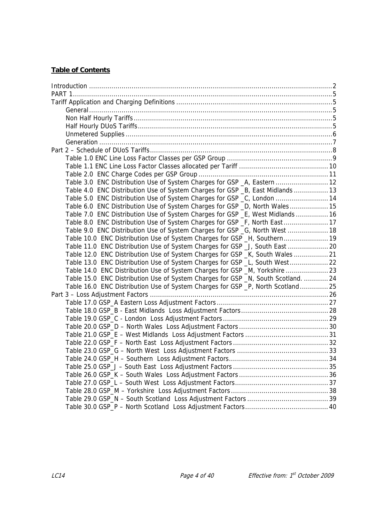#### **Table of Contents**

| Table 3.0 ENC Distribution Use of System Charges for GSP _A, Eastern  12                                                                                      |  |
|---------------------------------------------------------------------------------------------------------------------------------------------------------------|--|
| Table 4.0 ENC Distribution Use of System Charges for GSP _B, East Midlands  13                                                                                |  |
| Table 5.0 ENC Distribution Use of System Charges for GSP _C, London  14                                                                                       |  |
| Table 6.0 ENC Distribution Use of System Charges for GSP _D, North Wales 15                                                                                   |  |
|                                                                                                                                                               |  |
| Table 7.0 ENC Distribution Use of System Charges for GSP _E, West Midlands  16<br>Table 8.0 ENC Distribution Use of System Charges for GSP _F, North East  17 |  |
|                                                                                                                                                               |  |
| Table 9.0 ENC Distribution Use of System Charges for GSP _G, North West  18                                                                                   |  |
| Table 10.0 ENC Distribution Use of System Charges for GSP _H, Southern 19                                                                                     |  |
| Table 11.0 ENC Distribution Use of System Charges for GSP _J, South East  20                                                                                  |  |
| Table 12.0 ENC Distribution Use of System Charges for GSP _K, South Wales  21                                                                                 |  |
| Table 13.0 ENC Distribution Use of System Charges for GSP _L, South West  22                                                                                  |  |
| Table 14.0 ENC Distribution Use of System Charges for GSP _M, Yorkshire  23                                                                                   |  |
| Table 15.0 ENC Distribution Use of System Charges for GSP _N, South Scotland.  24                                                                             |  |
| Table 16.0 ENC Distribution Use of System Charges for GSP _P, North Scotland 25                                                                               |  |
|                                                                                                                                                               |  |
|                                                                                                                                                               |  |
|                                                                                                                                                               |  |
|                                                                                                                                                               |  |
|                                                                                                                                                               |  |
|                                                                                                                                                               |  |
|                                                                                                                                                               |  |
|                                                                                                                                                               |  |
|                                                                                                                                                               |  |
|                                                                                                                                                               |  |
|                                                                                                                                                               |  |
|                                                                                                                                                               |  |
|                                                                                                                                                               |  |
|                                                                                                                                                               |  |
|                                                                                                                                                               |  |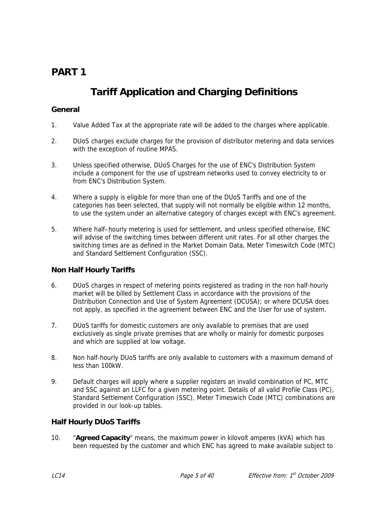# **PART 1**

# **Tariff Application and Charging Definitions**

#### **General**

- 1. Value Added Tax at the appropriate rate will be added to the charges where applicable.
- 2. DUoS charges exclude charges for the provision of distributor metering and data services with the exception of routine MPAS.
- 3. Unless specified otherwise, DUoS Charges for the use of ENC's Distribution System include a component for the use of upstream networks used to convey electricity to or from ENC's Distribution System.
- 4. Where a supply is eligible for more than one of the DUoS Tariffs and one of the categories has been selected, that supply will not normally be eligible within 12 months, to use the system under an alternative category of charges except with ENC's agreement.
- 5. Where half–hourly metering is used for settlement, and unless specified otherwise, ENC will advise of the switching times between different unit rates. For all other charges the switching times are as defined in the Market Domain Data, Meter Timeswitch Code (MTC) and Standard Settlement Configuration (SSC).

#### **Non Half Hourly Tariffs**

- 6. DUoS charges in respect of metering points registered as trading in the non half-hourly market will be billed by Settlement Class in accordance with the provisions of the Distribution Connection and Use of System Agreement (DCUSA); or where DCUSA does not apply, as specified in the agreement between ENC and the User for use of system.
- 7. DUoS tariffs for domestic customers are only available to premises that are used exclusively as single private premises that are wholly or mainly for domestic purposes and which are supplied at low voltage.
- 8. Non half-hourly DUoS tariffs are only available to customers with a maximum demand of less than 100kW.
- 9. Default charges will apply where a supplier registers an invalid combination of PC, MTC and SSC against an LLFC for a given metering point. Details of all valid Profile Class (PC), Standard Settlement Configuration (SSC), Meter Timeswich Code (MTC) combinations are provided in our look-up tables.

#### **Half Hourly DUoS Tariffs**

10. "**Agreed Capacity**" means, the maximum power in kilovolt amperes (kVA) which has been requested by the customer and which ENC has agreed to make available subject to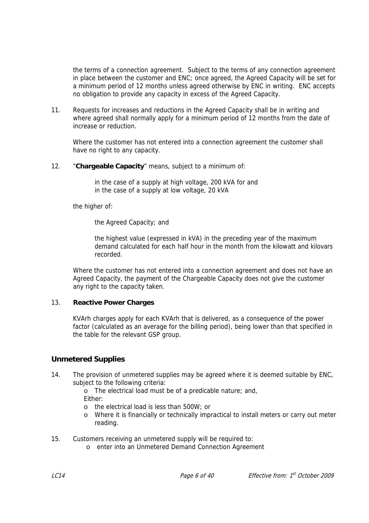the terms of a connection agreement. Subject to the terms of any connection agreement in place between the customer and ENC; once agreed, the Agreed Capacity will be set for a minimum period of 12 months unless agreed otherwise by ENC in writing. ENC accepts no obligation to provide any capacity in excess of the Agreed Capacity.

11. Requests for increases and reductions in the Agreed Capacity shall be in writing and where agreed shall normally apply for a minimum period of 12 months from the date of increase or reduction.

Where the customer has not entered into a connection agreement the customer shall have no right to any capacity.

12. "**Chargeable Capacity**" means, subject to a minimum of:

in the case of a supply at high voltage, 200 kVA for and in the case of a supply at low voltage, 20 kVA

the higher of:

the Agreed Capacity; and

the highest value (expressed in kVA) in the preceding year of the maximum demand calculated for each half hour in the month from the kilowatt and kilovars recorded.

Where the customer has not entered into a connection agreement and does not have an Agreed Capacity, the payment of the Chargeable Capacity does not give the customer any right to the capacity taken.

#### 13. **Reactive Power Charges**

KVArh charges apply for each KVArh that is delivered, as a consequence of the power factor (calculated as an average for the billing period), being lower than that specified in the table for the relevant GSP group.

#### **Unmetered Supplies**

14. The provision of unmetered supplies may be agreed where it is deemed suitable by ENC, subject to the following criteria:

o The electrical load must be of a predicable nature; and, Either:

- o the electrical load is less than 500W; or
- o Where it is financially or technically impractical to install meters or carry out meter reading.
- 15. Customers receiving an unmetered supply will be required to:
	- o enter into an Unmetered Demand Connection Agreement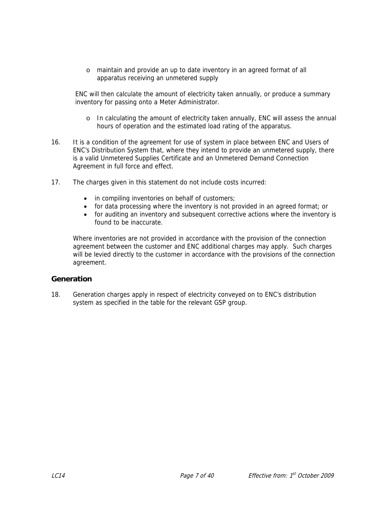o maintain and provide an up to date inventory in an agreed format of all apparatus receiving an unmetered supply

ENC will then calculate the amount of electricity taken annually, or produce a summary inventory for passing onto a Meter Administrator.

- o In calculating the amount of electricity taken annually, ENC will assess the annual hours of operation and the estimated load rating of the apparatus.
- 16. It is a condition of the agreement for use of system in place between ENC and Users of ENC's Distribution System that, where they intend to provide an unmetered supply, there is a valid Unmetered Supplies Certificate and an Unmetered Demand Connection Agreement in full force and effect.
- 17. The charges given in this statement do not include costs incurred:
	- in compiling inventories on behalf of customers;
	- for data processing where the inventory is not provided in an agreed format; or
	- for auditing an inventory and subsequent corrective actions where the inventory is found to be inaccurate.

Where inventories are not provided in accordance with the provision of the connection agreement between the customer and ENC additional charges may apply. Such charges will be levied directly to the customer in accordance with the provisions of the connection agreement.

#### **Generation**

18. Generation charges apply in respect of electricity conveyed on to ENC's distribution system as specified in the table for the relevant GSP group.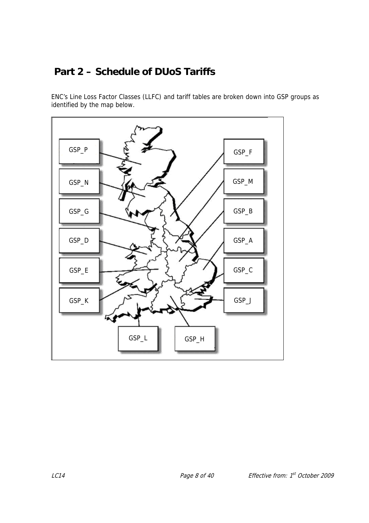# **Part 2 – Schedule of DUoS Tariffs**

ENC's Line Loss Factor Classes (LLFC) and tariff tables are broken down into GSP groups as identified by the map below.

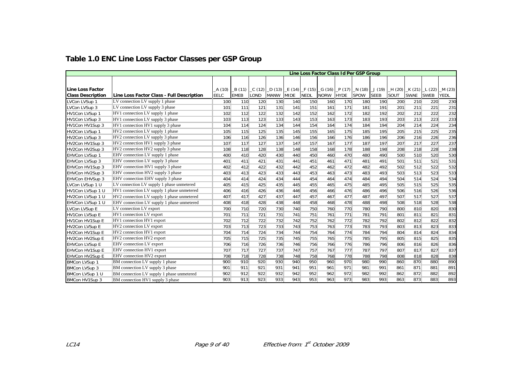|                                 |                                            |               |             |             |             |             |             |             |             | Line Loss Factor Class Id Per GSP Group                         |             |            |                         |             |                 |
|---------------------------------|--------------------------------------------|---------------|-------------|-------------|-------------|-------------|-------------|-------------|-------------|-----------------------------------------------------------------|-------------|------------|-------------------------|-------------|-----------------|
|                                 |                                            |               |             |             |             |             |             |             |             |                                                                 |             |            |                         |             |                 |
| <b>Line Loss Factor</b>         |                                            |               | B (11)      | C(12)       | D(13)       |             |             |             |             |                                                                 |             |            |                         |             |                 |
| <b>Class Description</b>        | Line Loss Factor Class - Full Description  | A(10)<br>EELC | <b>EMEB</b> | <b>LOND</b> | <b>MANW</b> | <b>MIDE</b> | <b>NEDL</b> | <b>NORW</b> | <b>HYDE</b> | _E (14) _F (15) _G (16) _P (17) _N (18) _J (19) _H (20)<br>SPOW | <b>SEEB</b> | SOUT       | $K(21)$ $L(22)$<br>SWAE | <b>SWEB</b> | _M (23)<br>YEDL |
| LVCon LVSup 1                   | LV connection LV supply 1 phase            | 100           | 110         | 120         | 130         | 140         | 150         | 160         | 170         | 180                                                             | 190         | 200        | 210                     | 220         | 230             |
|                                 | LV connection LV supply 3 phase            | 101           |             | 121         | 131         | 141         | 151         | 161         | 171         | 181                                                             | 191         |            | 211                     | 221         |                 |
| LVCon LVSup 3<br>HV1Con LVSup 1 |                                            | 102           | 111<br>112  | 122         | 132         | 142         | 152         | 162         | 172         | 182                                                             | 192         | 201<br>202 | 212                     | 222         | 231<br>232      |
|                                 | HV1 connection LV supply 1 phase           | 103           | 113         |             |             | 143         |             | 163         |             |                                                                 | 193         |            |                         | 223         |                 |
| HV1Con LVSup 3                  | HV1 connection LV supply 3 phase           |               |             | 123         | 133         |             | 153         |             | 173         | 183                                                             |             | 203        | 213                     |             | 233             |
| HV1Con HV1Sup 3                 | HV1 connection HV1 supply 3 phase          | 104           | 114         | 124         | 134         | 144         | 154         | 164         | 174         | 184                                                             | 194         | 204        | 214                     | 224         | 234             |
| HV2Con LVSup 1                  | HV2 connection LV supply 1 phase           | 105           | 115         | 125         | 135         | 145         | 155         | 165         | 175         | 185                                                             | 195         | 205        | 215                     | 225         | 235             |
| HV2Con LVSup 3                  | HV2 connection LV supply 3 phase           | 106           | 116         | 126         | 136         | 146         | 156         | 166         | 176         | 186                                                             | 196         | 206        | 216                     | 226         | 236             |
| HV2Con HV1Sup 3                 | HV2 connection HV1 supply 3 phase          | 107           | 117         | 127         | 137         | 147         | 157         | 167         | 177         | 187                                                             | 197         | 207        | 217                     | 227         | 237             |
| HV2Con HV2Sup 3                 | HV2 connection HV2 supply 3 phase          | 108           | 118         | 128         | 138         | 148         | 158         | 168         | 178         | 188                                                             | 198         | 208        | 218                     | 228         | 238             |
| <b>EHVCon LVSup 1</b>           | EHV connection LV supply 1 phase           | 400           | 410         | 420         | 430         | 440         | 450         | 460         | 470         | 480                                                             | 490         | 500        | 510                     | 520         | 530             |
| <b>EHVCon LVSup 3</b>           | EHV connection LV supply 3 phase           | 401           | 411         | 421         | 431         | 441         | 451         | 461         | 471         | 481                                                             | 491         | 501        | 511                     | 521         | 531             |
| EHVCon HV1Sup 3                 | EHV connection HV1 supply 3 phase          | 402           | 412         | 422         | 432         | 442         | 452         | 462         | 472         | 482                                                             | 492         | 502        | 512                     | 522         | 532             |
| EHVCon HV2Sup 3                 | EHV connection HV2 supply 3 phase          | 403           | 413         | 423         | 433         | 443         | 453         | 463         | 473         | 483                                                             | 493         | 503        | 513                     | 523         | 533             |
| EHVCon EHVSup 3                 | EHV connection EHV supply 3 phase          | 404           | 414         | 424         | 434         | 444         | 454         | 464         | 474         | 484                                                             | 494         | 504        | 514                     | 524         | 534             |
| LVCon LVSup 1 U                 | LV connection LV supply 1 phase unmetered  | 405           | 415         | 425         | 435         | 445         | 455         | 465         | 475         | 485                                                             | 495         | 505        | 515                     | 525         | 535             |
| HV1Con LVSup 1 U                | HV1 connection LV supply 1 phase unmetered | 406           | 416         | 426         | 436         | 446         | 456         | 466         | 476         | 486                                                             | 496         | 506        | 516                     | 526         | 536             |
| HV2Con LVSup 1 U                | HV2 connection LV supply 1 phase unmetered | 407           | 417         | 427         | 437         | 447         | 457         | 467         | 477         | 487                                                             | 497         | 507        | 517                     | 527         | 537             |
| EHVCon LVSup 1 U                | EHV connection LV supply 1 phase unmetered | 408           | 418         | 428         | 438         | 448         | 458         | 468         | 478         | 488                                                             | 498         | 508        | 518                     | 528         | 538             |
| <b>LVCon LVSup E</b>            | LV connection LV export                    | 700           | 710         | 720         | 730         | 740         | 750         | 760         | 770         | 780                                                             | 790         | 800        | 810                     | 820         | 830             |
| HV1Con LVSup E                  | HV1 connection LV export                   | 701           | 711         | 721         | 731         | 741         | 751         | 761         | 771         | 781                                                             | 791         | 801        | 811                     | 821         | 831             |
| HV1Con HV1Sup E                 | HV1 connection HV1 export                  | 702           | 712         | 722         | 732         | 742         | 752         | 762         | 772         | 782                                                             | 792         | 802        | 812                     | 822         | 832             |
| HV2Con LVSup E                  | HV2 connection LV export                   | 703           | 713         | 723         | 733         | 743         | 753         | 763         | 773         | 783                                                             | 793         | 803        | 813                     | 823         | 833             |
| HV2Con HV1Sup E                 | HV2 connection HV1 export                  | 704           | 714         | 724         | 734         | 744         | 754         | 764         | 774         | 784                                                             | 794         | 804        | 814                     | 824         | 834             |
| HV2Con HV2Sup E                 | HV2 connection HV2 export                  | 705           | 715         | 725         | 735         | 745         | 755         | 765         | 775         | 785                                                             | 795         | 805        | 815                     | 825         | 835             |
| <b>EHVCon LVSup E</b>           | EHV connection LV export                   | 706           | 716         | 726         | 736         | 746         | 756         | 766         | 776         | 786                                                             | 796         | 806        | 816                     | 826         | 836             |
| EHVCon HV1Sup E                 | EHV connection HV1 export                  | 707           | 717         | 727         | 737         | 747         | 757         | 767         | 777         | 787                                                             | 797         | 807        | 817                     | 827         | 837             |
| EHVCon HV2Sup E                 | EHV connection HV2 export                  | 708           | 718         | 728         | 738         | 748         | 758         | 768         | 778         | 788                                                             | 798         | 808        | 818                     | 828         | 838             |
| <b>BMCon LVSup 1</b>            | BM connection LV supply 1 phase            | 900           | 910         | 920         | 930         | 940         | 950         | 960         | 970         | 980                                                             | 990         | 860        | 870                     | 880         | 890             |
| <b>BMCon LVSup 3</b>            | BM connection LV supply 3 phase            | 901           | 911         | 921         | 931         | 941         | 951         | 961         | 971         | 981                                                             | 991         | 861        | 871                     | 881         | 891             |
| BMCon LVSup 1 U                 | BM connection LV supply 1 phase unmetered  | 902           | 912         | 922         | 932         | 942         | 952         | 962         | 972         | 982                                                             | 992         | 862        | 872                     | 882         | 892             |
| BMCon HV1Sup 3                  | BM connection HV1 supply 3 phase           | 903           | 913         | 923         | 933         | 943         | 953         | 963         | 973         | 983                                                             | 993         | 863        | 873                     | 883         | 893             |

# **Table 1.0 ENC Line Loss Factor Classes per GSP Group**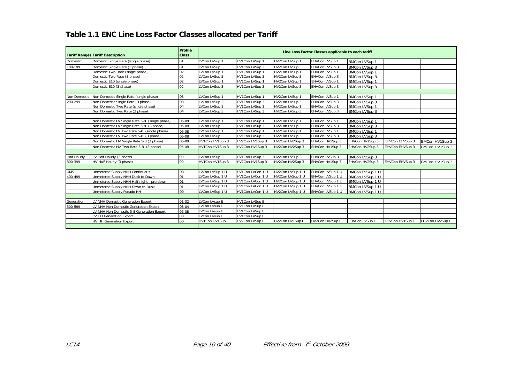# **Table 1.1 ENC Line Loss Factor Classes allocated per Tariff**

|                    | <b>Tariff Ranges Tariff Description</b>        | Profile<br><b>Class</b> |                 |                  |                  | Line Loss Factor Classes applicable to each tariff |                       |                        |                 |
|--------------------|------------------------------------------------|-------------------------|-----------------|------------------|------------------|----------------------------------------------------|-----------------------|------------------------|-----------------|
| <b>Domestic</b>    | Domestic Single Rate (single phase)            | 01                      | LVCon LVSup 1   | HV1Con LVSup 1   | HV2Con LVSup 1   | EHVCon LVSup 1                                     | <b>BMCon LVSup 1</b>  |                        |                 |
| 100-199            | Domestic Single Rate (3 phase)                 | 01                      | LVCon LVSup 3   | HV1Con LVSup 3   | HV2Con LVSup 3   | EHVCon LVSup 3                                     | <b>BMCon LVSup 3</b>  |                        |                 |
|                    | Domestic Two Rate (single phase)               | 02                      | LVCon LVSup 1   | HV1Con LVSup 1   | HV2Con LVSup 1   | EHVCon LVSup 1                                     | BMCon LVSup 1         |                        |                 |
|                    | Domestic Two Rate (3 phase)                    | 02                      | LVCon LVSup 3   | HV1Con LVSup 3   | HV2Con LVSup 3   | EHVCon LVSup 3                                     | <b>BMCon LVSup 3</b>  |                        |                 |
|                    | Domestic E10 (single phase)                    | 02                      | LVCon LVSup 1   | HV1Con LVSup 1   | HV2Con LVSup 1   | EHVCon LVSup 1                                     | BMCon LVSup 1         |                        |                 |
|                    | Domestic E10 (3 phase)                         | 02                      | LVCon LVSup 3   | HV1Con LVSup 3   | HV2Con LVSup 3   | EHVCon LVSup 3                                     | BMCon LVSup 3         |                        |                 |
|                    |                                                |                         |                 |                  |                  |                                                    |                       |                        |                 |
| Non Domestic       | Non Domestic Single Rate (single phase)        | 03                      | LVCon LVSup 1   | HV1Con LVSup 1   | HV2Con LVSup 1   | EHVCon LVSup 1                                     | <b>BMCon LVSup 1</b>  |                        |                 |
| 200-299            | Non Domestic Single Rate (3 phase)             | 03                      | LVCon LVSup 3   | HV1Con LVSup 3   | HV2Con LVSup 3   | EHVCon LVSup 3                                     | <b>BMCon LVSup 3</b>  |                        |                 |
|                    | Non Domestic Two Rate (single phase)           | 04                      | LVCon LVSup 1   | HV1Con LVSup 1   | HV2Con LVSup 1   | EHVCon LVSup 1                                     | <b>BMCon LVSup 1</b>  |                        |                 |
|                    | Non Domestic Two Rate (3 phase)                | 04                      | LVCon LVSup 3   | HV1Con LVSup 3   | HV2Con LVSup 3   | EHVCon LVSup 3                                     | <b>BMCon LVSup 3</b>  |                        |                 |
|                    |                                                |                         |                 |                  |                  |                                                    |                       |                        |                 |
|                    | Non Domestic LV Single Rate 5-8 (single phase) | $05 - 08$               | LVCon LVSup 1   | HV1Con LVSup 1   | HV2Con LVSup 1   | EHVCon LVSup 1                                     | BMCon LVSup 1         |                        |                 |
|                    | Non Domestic LV Single Rate 5-8 (3 phase)      | 05-08                   | LVCon LVSup 3   | HV1Con LVSup 3   | HV2Con LVSup 3   | EHVCon LVSup 3                                     | <b>BMCon LVSup 3</b>  |                        |                 |
|                    | Non Domestic LV Two Rate 5-8 (single phase)    | 05-08                   | LVCon LVSup 1   | HV1Con LVSup 1   | HV2Con LVSup 1   | EHVCon LVSup 1                                     | <b>BMCon LVSup 1</b>  |                        |                 |
|                    | Non Domestic LV Two Rate 5-8 (3 phase)         | 05-08                   | LVCon LVSup 3   | HV1Con LVSup 3   | HV2Con LVSup 3   | EHVCon LVSup 3                                     | <b>BMCon LVSup 3</b>  |                        |                 |
|                    | Non Domestic HV Single Rate 5-8 (3 phase)      | 05-08                   | HV1Con HV1Sup 3 | HV2Con HV1Sup 3  | HV2Con HV2Sup 3  | EHVCon HV1Sup 3                                    | EHVCon HV2Sup 3       | EHVCon EHVSup 3        | BMCon HV1Sup 3  |
|                    | Non Domestic HV Two Rate 5-8 (3 phase)         | 05-08                   | HV1Con HV1Sup 3 | HV2Con HV1Sup 3  | HV2Con HV2Sup 3  | EHVCon HV1Sup 3                                    | EHVCon HV2Sup 3       | EHVCon EHVSup 3        | BMCon HV1Sup 3  |
|                    |                                                |                         |                 |                  |                  |                                                    |                       |                        |                 |
| <b>Half Hourly</b> | LV Half Hourly (3 phase)                       | 00                      | LVCon LVSup 3   | HV1Con LVSup 3   | HV2Con LVSup 3   | EHVCon LVSup 3                                     | <b>BMCon LVSup 3</b>  |                        |                 |
| 300-399            | HV Half Hourly (3 phase)                       | 00                      | HV1Con HV1Sup 3 | HV2Con HV1Sup 3  | HV2Con HV2Sup 3  | EHVCon HV1Sup 3                                    | EHVCon HV2Sup 3       | <b>EHVCon EHVSup 3</b> | BMCon HV1Sup 3  |
|                    |                                                |                         |                 |                  |                  |                                                    |                       |                        |                 |
| <b>UMS</b>         | Unmetered Supply NHH Continuous                | 80                      | LVCon LVSup 1 U | HV1Con LVCon 1 U | HV2Con LVSup 1 U | EHVCon LVSup 1 U                                   | BMCon LVSup 1 U       |                        |                 |
| 400-499            | Unmetered Supply NHH Dusk to Dawn              | 01                      | LVCon LVSup 1 U | HV1Con LVCon 1 U | HV2Con LVSup 1 U | EHVCon LVSup 1 U                                   | BMCon LVSup 1 U       |                        |                 |
|                    | Unmetered Supply NHH Half night - pre dawn     | 01                      | LVCon LVSup 1 U | HV1Con LVCon 1 U | HV2Con LVSup 1 U | EHVCon LVSup 1 U                                   | BMCon LVSup 1 U       |                        |                 |
|                    | Unmetered Supply NHH Dawn to Dusk              | 01                      | LVCon LVSup 1 U | HV1Con LVCon 1 U | HV2Con LVSup 1 U | EHVCon LVSup 1 U                                   | BMCon LVSup 1 U       |                        |                 |
|                    | Unmetered Supply Pseudo HH                     | 00                      | LVCon LVSup 1 U | HV1Con LVCon 1 U | HV2Con LVSup 1 U | EHVCon LVSup 1 U                                   | BMCon LVSup 1 U       |                        |                 |
|                    |                                                |                         |                 |                  |                  |                                                    |                       |                        |                 |
| Generation         | V NHH Domestic Generation Export               | $01 - 02$               | LVCon LVsup E   | HV1Con LVSup E   |                  |                                                    |                       |                        |                 |
| 500-599            | LV NHH Non Domestic Generation Export          | 03-04                   | LVCon LVsup E   | HV1Con LVSup E   |                  |                                                    |                       |                        |                 |
|                    | LV NHH Non Domestic 5-8 Generation Export      | 05-08                   | LVCon LVsup E   | HV1Con LVSup E   |                  |                                                    |                       |                        |                 |
|                    | LV HH Generation Export                        | 00                      | LVCon LVsup E   | HV1Con LVSup E   |                  |                                                    |                       |                        |                 |
|                    | HV HH Generation Export                        | 00                      | HV1Con HV1Sup E | HV2Con LVSup E   | HV2Con HV1Sup E  | HV2Con HV2Sup E                                    | <b>EHVCon LVSup E</b> | EHVCon HV1Sup E        | EHVCon HV2Sup E |
|                    |                                                |                         |                 |                  |                  |                                                    |                       |                        |                 |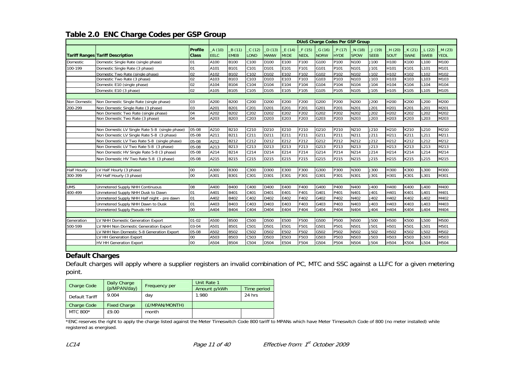#### **Table 2.0 ENC Charge Codes per GSP Group**

|                    |                                                |                         |                      |                      |                      |                      |                      |                         |                         |             | <b>DUoS Charge Codes Per GSP Group</b> |                      |                      |                      |                      |                      |
|--------------------|------------------------------------------------|-------------------------|----------------------|----------------------|----------------------|----------------------|----------------------|-------------------------|-------------------------|-------------|----------------------------------------|----------------------|----------------------|----------------------|----------------------|----------------------|
|                    | <b>Tariff Ranges Tariff Description</b>        | Profile<br><b>Class</b> | A(10)<br><b>EELC</b> | B(11)<br><b>EMEB</b> | C(12)<br><b>LOND</b> | D(13)<br><b>MANW</b> | E(14)<br><b>MIDE</b> | $-F(15)$<br><b>NEDL</b> | $-G(16)$<br><b>NORW</b> | <b>HYDE</b> | $P(17)$ $N(18)$<br><b>SPOW</b>         | J(19)<br><b>SEEB</b> | H(20)<br><b>SOUT</b> | K(21)<br><b>SWAE</b> | L(22)<br><b>SWEB</b> | M(23)<br><b>YEDL</b> |
| Domestic           | Domestic Single Rate (single phase)            | 01                      | A100                 | <b>B100</b>          | C100                 | D <sub>100</sub>     | E100                 | F100                    | G100                    | P100        | N100                                   | J100                 | H100                 | K100                 | L100                 | M100                 |
| 100-199            | Domestic Single Rate (3 phase)                 | 01                      | A101                 | <b>B101</b>          | C101                 | D <sub>101</sub>     | E101                 | F101                    | G101                    | P101        | N <sub>101</sub>                       | J101                 | H101                 | K101                 | L <sub>101</sub>     | M101                 |
|                    | Domestic Two Rate (single phase)               | 02                      | A102                 | B <sub>102</sub>     | C102                 | D <sub>102</sub>     | E102                 | F102                    | G102                    | P102        | N102                                   | J102                 | H102                 | K102                 | 102                  | M102                 |
|                    | Domestic Two Rate (3 phase)                    | 02                      | A103                 | B103                 | C103                 | D <sub>103</sub>     | E103                 | F103                    | G103                    | P103        | N103                                   | J103                 | H103                 | K103                 | L103                 | M103                 |
|                    | Domestic E10 (single phase)                    | 02                      | A104                 | <b>B104</b>          | C104                 | D <sub>104</sub>     | E104                 | F104                    | G104                    | P104        | N104                                   | J104                 | H104                 | K104                 | L104                 | M104                 |
|                    | Domestic E10 (3 phase)                         | 02                      | A105                 | B105                 | C105                 | D <sub>105</sub>     | E105                 | F105                    | G105                    | P105        | N105                                   | J105                 | H105                 | K105                 | L105                 | M105                 |
|                    |                                                |                         |                      |                      |                      |                      |                      |                         |                         |             |                                        |                      |                      |                      |                      |                      |
| Non Domestic       | Non Domestic Single Rate (single phase)        | 03                      | A200                 | <b>B200</b>          | C200                 | D <sub>200</sub>     | E200                 | F200                    | G200                    | P200        | N200                                   | J200                 | H200                 | K200                 | L200                 | M200                 |
| 200-299            | Non Domestic Single Rate (3 phase)             | 03                      | A201                 | <b>B201</b>          | C201                 | D <sub>201</sub>     | E201                 | F201                    | G201                    | P201        | N201                                   | J201                 | H201                 | K201                 | L <sub>201</sub>     | M201                 |
|                    | Non Domestic Two Rate (single phase)           | 04                      | A202                 | B202                 | C202                 | D <sub>202</sub>     | E202                 | F202                    | G202                    | P202        | N202                                   | J202                 | H202                 | K202                 | L202                 | M202                 |
|                    | Non Domestic Two Rate (3 phase)                | 04                      | A203                 | B203                 | C203                 | D203                 | E203                 | F203                    | G203                    | P203        | N203                                   | J203                 | H203                 | K203                 | L203                 | M203                 |
|                    |                                                |                         |                      |                      |                      |                      |                      |                         |                         |             |                                        |                      |                      |                      |                      |                      |
|                    | Non Domestic LV Single Rate 5-8 (single phase) | 05-08                   | A210                 | B210                 | C210                 | D210                 | E210                 | F210                    | G210                    | P210        | N210                                   | J210                 | H210                 | K210                 | L <sub>210</sub>     | M210                 |
|                    | Non Domestic LV Single Rate 5-8 (3 phase)      | 05-08                   | A211                 | B211                 | C211                 | D211                 | E211                 | F211                    | G211                    | P211        | N211                                   | J211                 | H211                 | K211                 | L <sub>211</sub>     | M211                 |
|                    | Non Domestic LV Two Rate 5-8 (single phase)    | 05-08                   | A212                 | B212                 | C212                 | D212                 | E212                 | F212                    | G212                    | P212        | N212                                   | J212                 | H212                 | K212                 | L <sub>212</sub>     | M212                 |
|                    | Non Domestic LV Two Rate 5-8 (3 phase)         | 05-08                   | A213                 | B213                 | C <sub>213</sub>     | D213                 | E213                 | F213                    | G213                    | P213        | N213                                   | J213                 | H213                 | K213                 | L213                 | M213                 |
|                    | Non Domestic HV Single Rate 5-8 (3 phase)      | 05-08                   | A214                 | <b>B214</b>          | C <sub>214</sub>     | D214                 | E214                 | F214                    | G214                    | P214        | N214                                   | J214                 | H214                 | K214                 | L <sub>214</sub>     | M214                 |
|                    | Non Domestic HV Two Rate 5-8 (3 phase)         | 05-08                   | A215                 | B215                 | C215                 | D215                 | E215                 | F215                    | G215                    | P215        | N215                                   | J215                 | H215                 | K215                 | L215                 | M215                 |
|                    |                                                |                         |                      |                      |                      |                      |                      |                         |                         |             |                                        |                      |                      |                      |                      |                      |
| <b>Half Hourly</b> | LV Half Hourly (3 phase)                       | 00                      | A300                 | <b>B300</b>          | C300                 | D300                 | E300                 | F300                    | G300                    | P300        | N300                                   | J300                 | H300                 | K300                 | L300                 | M300                 |
| 300-399            | HV Half Hourly (3 phase)                       | 00                      | A301                 | <b>B301</b>          | C301                 | D301                 | E301                 | F301                    | G301                    | P301        | N301                                   | J301                 | H301                 | K301                 | L301                 | M301                 |
|                    |                                                |                         |                      |                      |                      |                      |                      |                         |                         |             |                                        |                      |                      |                      |                      |                      |
| <b>UMS</b>         | <b>Unmetered Supply NHH Continuous</b>         | 08                      | A400                 | <b>B400</b>          | C400                 | D <sub>400</sub>     | E400                 | F400                    | G400                    | P400        | N400                                   | J400                 | H400                 | K400                 | 400                  | M400                 |
| 400-499            | Unmetered Supply NHH Dusk to Dawn              | 01                      | A401                 | B401                 | C401                 | D <sub>401</sub>     | E401                 | F401                    | G401                    | P401        | N401                                   | J401                 | H401                 | K401                 | 1401                 | M401                 |
|                    | Unmetered Supply NHH Half night - pre dawn     | 01                      | A402                 | B402                 | C402                 | D <sub>402</sub>     | E402                 | F402                    | G402                    | P402        | N402                                   | J402                 | H402                 | K402                 | 402                  | M402                 |
|                    | Unmetered Supply NHH Dawn to Dusk              | 01                      | A403                 | B403                 | C403                 | D <sub>403</sub>     | E403                 | F403                    | G403                    | P403        | N403                                   | J403                 | H403                 | K403                 | 403                  | M403                 |
|                    | Unmetered Supply Pseudo HH                     | 00                      | A404                 | <b>B404</b>          | C404                 | D <sub>404</sub>     | E404                 | F404                    | G404                    | P404        | N404                                   | J404                 | H404                 | K404                 | L404                 | M404                 |
|                    |                                                |                         |                      |                      |                      |                      |                      |                         |                         |             |                                        |                      |                      |                      |                      |                      |
| Generation         | LV NHH Domestic Generation Export              | $01 - 02$               | A500                 | <b>B500</b>          | C500                 | <b>D500</b>          | E500                 | F500                    | G500                    | P500        | <b>N500</b>                            | <b>J500</b>          | H500                 | K500                 | L500                 | M500                 |
| 500-599            | LV NHH Non Domestic Generation Export          | 03-04                   | A501                 | <b>B501</b>          | C501                 | D <sub>501</sub>     | E501                 | F501                    | G501                    | P501        | N501                                   | J501                 | H501                 | K501                 | 1501                 | M501                 |
|                    | LV NHH Non Domestic 5-8 Generation Export      | 05-08                   | A502                 | B502                 | C502                 | D <sub>502</sub>     | E502                 | F502                    | G502                    | P502        | N502                                   | J502                 | H502                 | K502                 | L <sub>502</sub>     | M502                 |
|                    | LV HH Generation Export                        | 00                      | A503                 | <b>B503</b>          | C503                 | D503                 | E503                 | F503                    | G503                    | P503        | N503                                   | J503                 | H503                 | K503                 | L <sub>503</sub>     | M503                 |
|                    | <b>HV HH Generation Export</b>                 | 00                      | A504                 | <b>B504</b>          | C504                 | D504                 | E504                 | F504                    | G504                    | P504        | N504                                   | J504                 | H504                 | K504                 | L <sub>504</sub>     | M504                 |
|                    |                                                |                         |                      |                      |                      |                      |                      |                         |                         |             |                                        |                      |                      |                      |                      |                      |

# **Default Charges**

Default charges will apply where a supplier registers an invalid combination of PC, MTC and SSC against a LLFC for a given metering point.

|                | Daily Charge        |                | Unit Rate 1  |             |
|----------------|---------------------|----------------|--------------|-------------|
| Charge Code    | (p/MPAN/day)        | Frequency per  | Amount p/kWh | Time period |
| Default Tariff | 9.004               | day            | 1.980        | $24$ hrs    |
| Charge Code    | <b>Fixed Charge</b> | (E/MPAN/MONTH) |              |             |
| MTC 800*       | £9.00               | month          |              |             |

\*ENC reserves the right to apply the charge listed against the Meter Timeswitch Code 800 tariff to MPANs which have Meter Timeswitch Code of 800 (no meter installed) while registered as energised.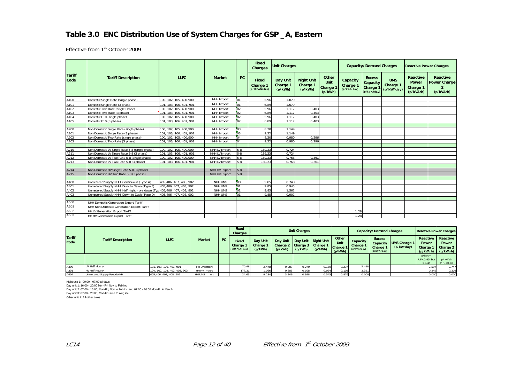#### **Table 3.0 ENC Distribution Use of System Charges for GSP \_A, Eastern**

Effective from 1<sup>st</sup> October 2009

|                       |                                                                         |                         |               |                  | <b>Fixed</b><br><b>Charges</b>           | <b>Unit Charges</b>             |                                          |                                      |                                     | Capacity/Demand Charges                                     |                                      | <b>Reactive Power Charges</b>                     |                                                                       |
|-----------------------|-------------------------------------------------------------------------|-------------------------|---------------|------------------|------------------------------------------|---------------------------------|------------------------------------------|--------------------------------------|-------------------------------------|-------------------------------------------------------------|--------------------------------------|---------------------------------------------------|-----------------------------------------------------------------------|
| <b>Tariff</b><br>Code | <b>Tariff Description</b>                                               | <b>LLFC</b>             | <b>Market</b> | PC               | <b>Fixed</b><br>Charge 1<br>(p/MPAN/day) | Day Unit<br>Charge 1<br>(p/kWh) | <b>Night Unit</b><br>Charge 1<br>(p/kWh) | Other<br>Unit<br>Charge 1<br>(p/kWh) | Capacity<br>Charge 1<br>(p/kVA/day) | <b>Excess</b><br>Capacity<br><b>Charge 1</b><br>(p/kVA/day) | <b>UMS</b><br>Charge 1<br>(p/kW/day) | <b>Reactive</b><br>Power<br>Charge 1<br>(p/kVArh) | <b>Reactive</b><br><b>Power Charge</b><br>$\overline{2}$<br>(p/kVArh) |
| A100                  | Domestic Single Rate (single phase)                                     | 100, 102, 105, 400, 900 | NHH Import    | 01               | 5.96                                     | 1.079                           |                                          |                                      |                                     |                                                             |                                      |                                                   |                                                                       |
| A101                  | Domestic Single Rate (3 phase)                                          | 101, 103, 106, 401, 901 | NHH Import    | 01               | 6.89                                     | 1.079                           |                                          |                                      |                                     |                                                             |                                      |                                                   |                                                                       |
| A102                  | Domestic Two Rate (single Phase)                                        | 100, 102, 105, 400, 900 | NHH Import    | 02               | 5.96                                     | 1.117                           | 0.403                                    |                                      |                                     |                                                             |                                      |                                                   |                                                                       |
| A103                  | Domestic Two Rate (3 phase)                                             | 101, 103, 106, 401, 901 | NHH Import    | 02               | 6.89                                     | 1.117                           | 0.403                                    |                                      |                                     |                                                             |                                      |                                                   |                                                                       |
| A104                  | Domestic E10 (single phase)                                             | 100, 102, 105, 400, 900 | NHH Import    | 02               | 5.96                                     | 1.117                           | 0.403                                    |                                      |                                     |                                                             |                                      |                                                   |                                                                       |
| A105                  | Domestic E10 (3 phase)                                                  | 101, 103, 106, 401, 901 | NHH Import    | 02               | 6.89                                     | 1.117                           | 0.403                                    |                                      |                                     |                                                             |                                      |                                                   |                                                                       |
|                       |                                                                         |                         |               |                  |                                          |                                 |                                          |                                      |                                     |                                                             |                                      |                                                   |                                                                       |
| A200                  | Non Domestic Single Rate (single phase)                                 | 100, 102, 105, 400, 900 | NHH Import    | 03               | 8.20                                     | 1.149                           |                                          |                                      |                                     |                                                             |                                      |                                                   |                                                                       |
| A201                  | Non Domestic Single Rate (3 phase)                                      | 101, 103, 106, 401, 901 | NHH Import    | 03               | 9.22                                     | 1.149                           |                                          |                                      |                                     |                                                             |                                      |                                                   |                                                                       |
| A202                  | Non Domestic Two Rate (single phase)                                    | 100, 102, 105, 400, 900 | NHH Import    | 04               | 8.20                                     | 0.980                           | 0.296                                    |                                      |                                     |                                                             |                                      |                                                   |                                                                       |
| A203                  | Non Domestic Two Rate (3 phase)                                         | 101, 103, 106, 401, 901 | NHH Import    | 04               | 9.22                                     | 0.980                           | 0.296                                    |                                      |                                     |                                                             |                                      |                                                   |                                                                       |
|                       |                                                                         |                         |               |                  |                                          |                                 |                                          |                                      |                                     |                                                             |                                      |                                                   |                                                                       |
| A210                  | Non Domestic LV Single Rate 5-8 (single phase)                          | 100, 102, 105, 400, 900 | NHH LV Import | $5 - 8$          | 189.23                                   | 0.724                           |                                          |                                      |                                     |                                                             |                                      |                                                   |                                                                       |
| A211                  | Non Domestic LV Single Rate 5-8 (3 phase)                               | 101, 103, 106, 401, 901 | NHH LV Import | $5-8$            | 189.23                                   | 0.724                           |                                          |                                      |                                     |                                                             |                                      |                                                   |                                                                       |
| A212                  | Non Domestic LV Two Rate 5-8 (single phase)                             | 100, 102, 105, 400, 900 | NHH LV Import | $5-8$            | 189.23                                   | 0.768                           | 0.361                                    |                                      |                                     |                                                             |                                      |                                                   |                                                                       |
| A213                  | Non Domestic LV Two Rate 5-8 (3 phase)                                  | 101, 103, 106, 401, 901 | NHH LV Import | $5-8$            | 189.23                                   | 0.768                           | 0.361                                    |                                      |                                     |                                                             |                                      |                                                   |                                                                       |
|                       |                                                                         |                         |               |                  |                                          |                                 |                                          |                                      |                                     |                                                             |                                      |                                                   |                                                                       |
| A214                  | Non Domestic HV Single Rate 5-8 (3 phase)                               |                         | NHH HV Import | $5-8$<br>$5 - 8$ |                                          |                                 |                                          |                                      |                                     |                                                             |                                      |                                                   |                                                                       |
| A215                  | Non Domestic HV Two Rate 5-8 (3 phase)                                  |                         | NHH HV Import |                  |                                          |                                 |                                          |                                      |                                     |                                                             |                                      |                                                   |                                                                       |
| A400                  | Unmetered Supply NHH Continuous (Type A)                                | 405,406, 407, 408, 902  | NHH UMS       | 08               | 9.85                                     | 0.748                           |                                          |                                      |                                     |                                                             |                                      |                                                   |                                                                       |
| A401                  | Unmetered Supply NHH Dusk to Dawn (Type B)                              | 405,406, 407, 408, 902  | NHH UMS       | 01               | 9.85                                     | 0.945                           |                                          |                                      |                                     |                                                             |                                      |                                                   |                                                                       |
| A402                  | Unmetered Supply NHH Half night - pre dawn (Typ 405, 406, 407, 408, 902 |                         | NHH UMS       | 01               | 9.85                                     | 1.562                           |                                          |                                      |                                     |                                                             |                                      |                                                   |                                                                       |
| A403                  | Unmetered Supply NHH Dawn to Dusk (Type D)                              | 405,406, 407, 408, 902  | NHH UMS       | 01               | 9.85                                     | 0.902                           |                                          |                                      |                                     |                                                             |                                      |                                                   |                                                                       |
|                       |                                                                         |                         |               |                  |                                          |                                 |                                          |                                      |                                     |                                                             |                                      |                                                   |                                                                       |
| A500                  | NHH Domestic Generation Export Tariff                                   |                         |               |                  |                                          |                                 |                                          |                                      |                                     |                                                             |                                      |                                                   |                                                                       |
| A501                  | NHH Non Domestic Generation Export Tariff                               |                         |               |                  |                                          |                                 |                                          |                                      |                                     |                                                             |                                      |                                                   |                                                                       |
| A502                  | HH LV Generation Export Tariff                                          |                         |               |                  |                                          |                                 |                                          |                                      | 1.28                                |                                                             |                                      |                                                   |                                                                       |
| A503                  | HH HV Generation Export Tariff                                          |                         |               |                  |                                          |                                 |                                          |                                      | 1.28                                |                                                             |                                      |                                                   |                                                                       |

|                       |                            |                              |               |    | <b>Fixed</b><br>Charges         |                                 |                                                   | <b>Unit Charges</b> |                                |                                      |                                                | Capacity/Demand Charges                              |                                   | <b>Reactive Power Charges</b>                        |                                      |
|-----------------------|----------------------------|------------------------------|---------------|----|---------------------------------|---------------------------------|---------------------------------------------------|---------------------|--------------------------------|--------------------------------------|------------------------------------------------|------------------------------------------------------|-----------------------------------|------------------------------------------------------|--------------------------------------|
| <b>Tariff</b><br>Code | <b>Tariff Description</b>  | LLFC                         | <b>Market</b> | PC | Fixed<br>Charge<br>(p/MPAN/day) | Day Unit<br>Charge 1<br>(p/kWh) | Day Unit<br>Charge 2 Charge 3 Charge 1<br>(p/kWh) | (p/kWh)             | Day Unit Night Unit<br>(p/kWh) | Other<br>Unit<br>Charge 1<br>(p/kWh) | Capacity<br>Charge <sup>1</sup><br>(p/kVA/day) | <b>Excess</b><br>Capacity<br>Charge 1<br>(p/kVA/day) | <b>UMS Charge 1</b><br>(p/kW/day) | Reactive<br>Power<br>Charge 1<br>(p/kVArh) (p/kVArh) | Reactive<br><b>Power</b><br>Charge 2 |
|                       |                            |                              |               |    |                                 |                                 |                                                   |                     |                                |                                      |                                                |                                                      |                                   | p/kVArh<br>$P.F < 0.95$ but<br>>0.45                 | p/ kVArh<br>P.F. < 0.45              |
| A300                  | LV Half Hourly             | 101, 103, 106, 401, 901      | HH LV Import  |    | 70.48                           | 2.478                           | 0.987                                             | 0.270               | 0.160                          | 0.237                                | 5.458                                          |                                                      |                                   | 0.597                                                | 0.747                                |
| A301                  | HV Half Hourly             | 104, 107, 108, 402, 403, 903 | HH HV Import  |    | 177.31                          | 1.066                           | 0.385                                             | 0.108               | 0.064                          | 0.102                                | 3.321                                          |                                                      |                                   | 0.242                                                | 0.303                                |
| A404                  | Unmetered Supply Pseudo HH | 405, 406, 407, 408, 902      | HH UMS Import |    | 24.63                           | 9.234                           | 3.349                                             | 0.928               | 0.545                          | 0.876                                | 0.000                                          |                                                      |                                   | 0.000                                                | 0.000                                |

Night unit 1: 00:00 - 07:00 all days Day unit 1: 16:00 - 20:00 Mon-Fri, Nov to Feb inc Day unit 2: 07:00 - 16:00, Mon-Fri, Nov to Feb inc and 07:00 - 20:00 Mon-Fri in March Day unit 3: 07:00 - 20:00, Mon-Fri June to Aug inc Other unit 1: All other times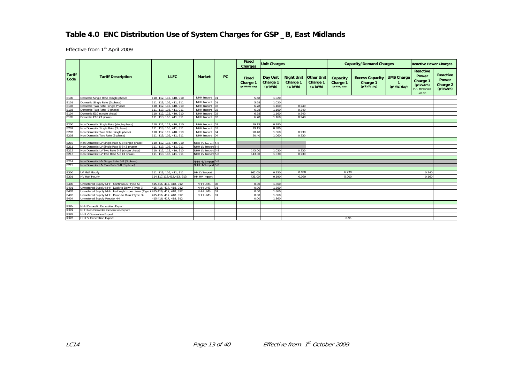# **Table 4.0 ENC Distribution Use of System Charges for GSP \_B, East Midlands**

Effective from 1st April 2009

|                       |                                                                          |                              |                   |           | Fixed<br>Charges                         | <b>Unit Charges</b>             |                                          |                                                 |                                     | <b>Capacity/Demand Charges</b>                    |                                 | <b>Reactive Power Charges</b>                                                 |                                                   |
|-----------------------|--------------------------------------------------------------------------|------------------------------|-------------------|-----------|------------------------------------------|---------------------------------|------------------------------------------|-------------------------------------------------|-------------------------------------|---------------------------------------------------|---------------------------------|-------------------------------------------------------------------------------|---------------------------------------------------|
| <b>Tariff</b><br>Code | <b>Tariff Description</b>                                                | LLFC                         | <b>Market</b>     | <b>PC</b> | <b>Fixed</b><br>Charge 1<br>(p/MPAN/day) | Day Unit<br>Charge 1<br>(p/kWh) | <b>Night Unit</b><br>Charge 1<br>(p/kWh) | <b>Other Unit</b><br><b>Charge 1</b><br>(p/kWh) | Capacity<br>Charge 1<br>(p/kVA/day) | <b>Excess Capacity</b><br>Charge 1<br>(p/kVA/day) | <b>UMS Charge</b><br>(p/kW/day) | <b>Reactive</b><br>Power<br>Charge 1<br>(p/kVArh)<br>P.F. threshold<br>< 0.95 | <b>Reactive</b><br>Power<br>Charge 2<br>(p/kVArh) |
| <b>B100</b>           | Domestic Single Rate (single phase)                                      | 110, 112, 115, 410, 910      | NHH Import 01     |           | 5.68                                     | 1.020                           |                                          |                                                 |                                     |                                                   |                                 |                                                                               |                                                   |
| B101                  | Domestic Single Rate (3 phase)                                           | 111, 113, 116, 411, 911      | NHH Import 101    |           | 5.68                                     | 1.020                           |                                          |                                                 |                                     |                                                   |                                 |                                                                               |                                                   |
| B102                  | Domestic Two Rate (single Phase)                                         | 110, 112, 115, 410, 910      | NHH Import 02     |           | 6.78                                     | 1.160                           | 0.240                                    |                                                 |                                     |                                                   |                                 |                                                                               |                                                   |
| B103                  | Domestic Two Rate (3 phase)                                              | 111, 113, 116, 411, 911      | NHH Import 02     |           | 6.78                                     | 1.160                           | 0.240                                    |                                                 |                                     |                                                   |                                 |                                                                               |                                                   |
| <b>B104</b>           | Domestic E10 (single phase)                                              | 110, 112, 115, 410, 910      | NHH Import 02     |           | 6.78                                     | 1.160                           | 0.240                                    |                                                 |                                     |                                                   |                                 |                                                                               |                                                   |
| B105                  | Domestic E10 (3 phase)                                                   | 111, 113, 116, 411, 911      | NHH Import 02     |           | 6.78                                     | 1.160                           | 0.240                                    |                                                 |                                     |                                                   |                                 |                                                                               |                                                   |
|                       |                                                                          |                              |                   |           |                                          |                                 |                                          |                                                 |                                     |                                                   |                                 |                                                                               |                                                   |
| <b>B200</b>           | Non Domestic Single Rate (single phase)                                  | 110, 112, 115, 410, 910      | NHH Import 03     |           | 19.15                                    | 0.980                           |                                          |                                                 |                                     |                                                   |                                 |                                                                               |                                                   |
| B201                  | Non Domestic Single Rate (3 phase)                                       | 111, 113, 116, 411, 911      | NHH Import 03     |           | 19.15                                    | 0.980                           |                                          |                                                 |                                     |                                                   |                                 |                                                                               |                                                   |
| <b>B202</b>           | Non Domestic Two Rate (single phase)                                     | 110, 112, 115, 410, 910      | NHH Import 04     |           | 20.40                                    | 1.060                           | 0.230                                    |                                                 |                                     |                                                   |                                 |                                                                               |                                                   |
| <b>B203</b>           | Non Domestic Two Rate (3 phase)                                          | 111, 113, 116, 411, 911      | NHH Import 04     |           | 20.40                                    | 1.060                           | 0.230                                    |                                                 |                                     |                                                   |                                 |                                                                               |                                                   |
|                       |                                                                          |                              |                   |           |                                          |                                 |                                          |                                                 |                                     |                                                   |                                 |                                                                               |                                                   |
| B210                  | Non Domestic LV Single Rate 5-8 (single phase)                           | 110, 112, 115, 410, 910      | NHH LV Import 5-8 |           |                                          |                                 |                                          |                                                 |                                     |                                                   |                                 |                                                                               |                                                   |
| B <sub>211</sub>      | Non Domestic LV Single Rate 5-8 (3 phase)                                | 111, 113, 116, 411, 911      | NHH LV Import 5-8 |           |                                          |                                 |                                          |                                                 |                                     |                                                   |                                 |                                                                               |                                                   |
| B212                  | Non Domestic LV Two Rate 5-8 (single phase)                              | 110, 112, 115, 410, 910      | NHH LV Import 5-8 |           | 143.00                                   | 1.030                           | 0.230                                    |                                                 |                                     |                                                   |                                 |                                                                               |                                                   |
| B213                  | Non Domestic LV Two Rate 5-8 (3 phase)                                   | 111, 113, 116, 411, 911      | NHH LV Import 5-8 |           | 143.00                                   | 1.030                           | 0.230                                    |                                                 |                                     |                                                   |                                 |                                                                               |                                                   |
|                       |                                                                          |                              |                   |           |                                          |                                 |                                          |                                                 |                                     |                                                   |                                 |                                                                               |                                                   |
| B214                  | Non Domestic HV Single Rate 5-8 (3 phase)                                |                              | NHH HV Import 5-8 |           |                                          |                                 |                                          |                                                 |                                     |                                                   |                                 |                                                                               |                                                   |
| B215                  | Non Domestic HV Two Rate 5-8 (3 phase)                                   |                              | NHH HV Import 5-8 |           |                                          |                                 |                                          |                                                 |                                     |                                                   |                                 |                                                                               |                                                   |
|                       |                                                                          |                              |                   |           |                                          |                                 |                                          |                                                 |                                     |                                                   |                                 |                                                                               |                                                   |
| <b>B300</b>           | LV Half Hourly                                                           | 111, 113, 116, 411, 911      | HH LV Import      |           | 162.00                                   | 0.250                           | 0.090                                    |                                                 | 6.230                               |                                                   |                                 | 0.240                                                                         |                                                   |
| B301                  | <b>HV Half Hourly</b>                                                    | 114, 117, 118, 412, 413, 913 | HH HV Import      |           | 431.00                                   | 0.190                           | 0.090                                    |                                                 | 5.000                               |                                                   |                                 | 0.160                                                                         |                                                   |
|                       |                                                                          |                              |                   |           |                                          |                                 |                                          |                                                 |                                     |                                                   |                                 |                                                                               |                                                   |
| <b>B400</b>           | Unmetered Supply NHH Continuous (Type A)                                 | 415,416, 417, 418, 912       | NHH UMS           | 08        | 0.00                                     | 1.860                           |                                          |                                                 |                                     |                                                   |                                 |                                                                               |                                                   |
| B401                  | Unmetered Supply NHH Dusk to Dawn (Type B)                               | 415.416.417.418.912          | NHH UMS 01        |           | 0.00                                     | 1.860                           |                                          |                                                 |                                     |                                                   |                                 |                                                                               |                                                   |
| B402                  | Unmetered Supply NHH Half night - pre dawn (Type 0415,416, 417, 418, 912 |                              | NHH UMS 01        |           | 0.00                                     | 1.860                           |                                          |                                                 |                                     |                                                   |                                 |                                                                               |                                                   |
| B403                  | Unmetered Supply NHH Dawn to Dusk (Type D)                               | 415,416, 417, 418, 912       | NHH UMS 01        |           | 0.00                                     | 1.860                           |                                          |                                                 |                                     |                                                   |                                 |                                                                               |                                                   |
| B404                  | Unmetered Supply Pseudo HH                                               | 415.416.417.418.912          |                   |           | 0.00                                     | 1.860                           |                                          |                                                 |                                     |                                                   |                                 |                                                                               |                                                   |
|                       |                                                                          |                              |                   |           |                                          |                                 |                                          |                                                 |                                     |                                                   |                                 |                                                                               |                                                   |
| <b>B500</b>           | <b>NHH Domestic Generation Export</b>                                    |                              |                   |           |                                          |                                 |                                          |                                                 |                                     |                                                   |                                 |                                                                               |                                                   |
| <b>B501</b>           | NHH Non Domestic Generation Export                                       |                              |                   |           |                                          |                                 |                                          |                                                 |                                     |                                                   |                                 |                                                                               |                                                   |
| <b>B503</b>           | <b>HH LV Generation Export</b>                                           |                              |                   |           |                                          |                                 |                                          |                                                 |                                     |                                                   |                                 |                                                                               |                                                   |
| B504                  | <b>HH HV Generation Export</b>                                           |                              |                   |           |                                          |                                 |                                          |                                                 | 0.96                                |                                                   |                                 |                                                                               |                                                   |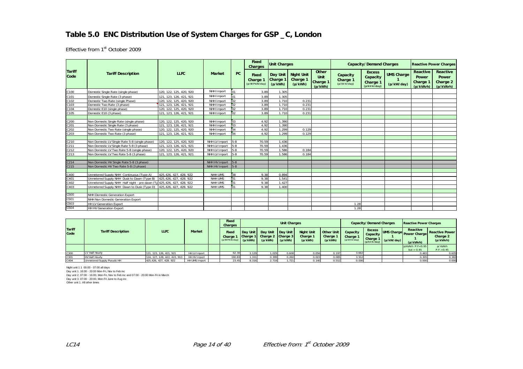# **Table 5.0 ENC Distribution Use of System Charges for GSP \_C, London**

Effective from 1<sup>st</sup> October 2009

|                       |                                                                        |                         |               |       | <b>Fixed</b><br>Charges                  | <b>Unit Charges</b>             |                                          |                                             |                                            | Capacity/Demand Charges                              |                                 |                                                   | <b>Reactive Power Charges</b>                            |
|-----------------------|------------------------------------------------------------------------|-------------------------|---------------|-------|------------------------------------------|---------------------------------|------------------------------------------|---------------------------------------------|--------------------------------------------|------------------------------------------------------|---------------------------------|---------------------------------------------------|----------------------------------------------------------|
| <b>Tariff</b><br>Code | <b>Tariff Description</b>                                              | <b>LLFC</b>             | <b>Market</b> | PC    | <b>Fixed</b><br>Charge 1<br>(p/MPAN/day) | Day Unit<br>Charge 1<br>(p/kWh) | <b>Night Unit</b><br>Charge 1<br>(p/kWh) | Other<br><b>Unit</b><br>Charge 1<br>(p/kWh) | <b>Capacity</b><br>Charge 1<br>(p/kVA/day) | <b>Excess</b><br>Capacity<br>Charge 1<br>(p/kVA/day) | <b>UMS Charge</b><br>(p/kW/day) | <b>Reactive</b><br>Power<br>Charge 1<br>(p/kVArh) | <b>Reactive</b><br><b>Power</b><br>Charge 2<br>(p/kVArh) |
| C <sub>100</sub>      | Domestic Single Rate (single phase)                                    | 120, 122, 125, 420, 920 | NHH Import    | 01    | 3.89                                     | 1.305                           |                                          |                                             |                                            |                                                      |                                 |                                                   |                                                          |
| C101                  | Domestic Single Rate (3 phase)                                         | 121, 123, 126, 421, 921 | NHH Import    | 01    | 3.89                                     | 1.305                           |                                          |                                             |                                            |                                                      |                                 |                                                   |                                                          |
| C102                  | Domestic Two Rate (single Phase)                                       | 120, 122, 125, 420, 920 | NHH Import    | 02    | 3.89                                     | 1.710                           | 0.231                                    |                                             |                                            |                                                      |                                 |                                                   |                                                          |
| C103                  | Domestic Two Rate (3 phase)                                            | 121, 123, 126, 421, 921 | NHH Import    | 02    | 3.89                                     | 1.710                           | 0.231                                    |                                             |                                            |                                                      |                                 |                                                   |                                                          |
| C104                  | Domestic E10 (single phase)                                            | 120, 122, 125, 420, 920 | NHH Import    | 02    | 3.89                                     | 1.710                           | 0.231                                    |                                             |                                            |                                                      |                                 |                                                   |                                                          |
| C105                  | Domestic E10 (3 phase)                                                 | 121. 123. 126. 421. 921 | NHH Import    | 02    | 3.89                                     | 1.710                           | 0.231                                    |                                             |                                            |                                                      |                                 |                                                   |                                                          |
|                       |                                                                        |                         |               |       |                                          |                                 |                                          |                                             |                                            |                                                      |                                 |                                                   |                                                          |
| C200                  | Non Domestic Single Rate (single phase)                                | 120, 122, 125, 420, 920 | NHH Import    | 03    | 4.92                                     | 1.390                           |                                          |                                             |                                            |                                                      |                                 |                                                   |                                                          |
| C <sub>201</sub>      | Non Domestic Single Rate (3 phase)                                     | 121, 123, 126, 421, 921 | NHH Import    | 03    | 4.92                                     | 1.390                           |                                          |                                             |                                            |                                                      |                                 |                                                   |                                                          |
| C <sub>202</sub>      | Non Domestic Two Rate (single phase)                                   | 120, 122, 125, 420, 920 | NHH Import    | 04    | 4.92                                     | 1.299                           | 0.129                                    |                                             |                                            |                                                      |                                 |                                                   |                                                          |
| C203                  | Non Domestic Two Rate (3 phase)                                        | 121, 123, 126, 421, 921 | NHH Import    | 04    | 4.92                                     | 1.299                           | 0.129                                    |                                             |                                            |                                                      |                                 |                                                   |                                                          |
|                       |                                                                        |                         |               |       |                                          |                                 |                                          |                                             |                                            |                                                      |                                 |                                                   |                                                          |
| C210                  | Non Domestic LV Single Rate 5-8 (single phase)                         | 120, 122, 125, 420, 920 | NHH LV Import | $5-8$ | 70.59                                    | 1.436                           |                                          |                                             |                                            |                                                      |                                 |                                                   |                                                          |
| C211                  | Non Domestic LV Single Rate 5-8 (3 phase)                              | 121, 123, 126, 421, 921 | NHH LV Import | $5-8$ | 70.59                                    | 1.436                           |                                          |                                             |                                            |                                                      |                                 |                                                   |                                                          |
| C <sub>212</sub>      | Non Domestic LV Two Rate 5-8 (single phase)                            | 120, 122, 125, 420, 920 | NHH LV Import | 5-8   | 70.59                                    | 1.586                           | 0.184                                    |                                             |                                            |                                                      |                                 |                                                   |                                                          |
| C213                  | Non Domestic LV Two Rate 5-8 (3 phase)                                 | 121, 123, 126, 421, 921 | NHH LV Import | 5-8   | 70.59                                    | 1.586                           | 0.184                                    |                                             |                                            |                                                      |                                 |                                                   |                                                          |
|                       |                                                                        |                         |               |       |                                          |                                 |                                          |                                             |                                            |                                                      |                                 |                                                   |                                                          |
| C <sub>214</sub>      | Non Domestic HV Single Rate 5-8 (3 phase)                              |                         | NHH HV Import | $5-8$ |                                          |                                 |                                          |                                             |                                            |                                                      |                                 |                                                   |                                                          |
| C215                  | Non Domestic HV Two Rate 5-8 (3 phase)                                 |                         | NHH HV Import | $5-8$ |                                          |                                 |                                          |                                             |                                            |                                                      |                                 |                                                   |                                                          |
|                       |                                                                        |                         |               |       |                                          |                                 |                                          |                                             |                                            |                                                      |                                 |                                                   |                                                          |
| C400                  | Unmetered Supply NHH Continuous (Type A)                               | 425, 426, 427, 428, 922 | NHH UMS       | 08    | 9.38                                     | 0.894                           |                                          |                                             |                                            |                                                      |                                 |                                                   |                                                          |
| C401                  | Unmetered Supply NHH Dusk to Dawn (Type B)                             | 425, 426, 427, 428, 922 | NHH UMS       | 01    | 9.38                                     | 1.541                           |                                          |                                             |                                            |                                                      |                                 |                                                   |                                                          |
| C402                  | Unmetered Supply NHH Half night - pre dawn (Ty 425, 426, 427, 428. 922 |                         | NHH UMS       | 01    | 9.38                                     | 1.427                           |                                          |                                             |                                            |                                                      |                                 |                                                   |                                                          |
| C403                  | Unmetered Supply NHH Dawn to Dusk (Type D)                             | 425, 426, 427, 428. 922 | NHH UMS       | 01    | 9.38                                     | 1.400                           |                                          |                                             |                                            |                                                      |                                 |                                                   |                                                          |
|                       |                                                                        |                         |               |       |                                          |                                 |                                          |                                             |                                            |                                                      |                                 |                                                   |                                                          |
| C500                  | NHH Domestic Generation Export                                         |                         |               |       |                                          |                                 |                                          |                                             |                                            |                                                      |                                 |                                                   |                                                          |
| C501                  | NHH Non Domestic Generation Export                                     |                         |               |       |                                          |                                 |                                          |                                             |                                            |                                                      |                                 |                                                   |                                                          |
| C503                  | HH LV Generation Export                                                |                         |               |       |                                          |                                 |                                          |                                             | .28                                        |                                                      |                                 |                                                   |                                                          |
| C504                  | <b>HH HV Generation Export</b>                                         |                         |               |       |                                          |                                 |                                          |                                             | 1.28                                       |                                                      |                                 |                                                   |                                                          |

|                       |                            |                              |               | <b>Fixed</b><br><b>Charges</b>                   |       |                                                            | <b>Unit Charges</b> |                                          |                                          |                                     | Capacity/Demand Charges   |                       | <b>Reactive Power Charges</b>                                      |                                                |
|-----------------------|----------------------------|------------------------------|---------------|--------------------------------------------------|-------|------------------------------------------------------------|---------------------|------------------------------------------|------------------------------------------|-------------------------------------|---------------------------|-----------------------|--------------------------------------------------------------------|------------------------------------------------|
| <b>Tariff</b><br>Code | <b>Tariff Description</b>  | <b>LLFC</b>                  | <b>Market</b> | <b>Fixed</b><br>Charge 1<br>(p/MPAN/day) (p/kWh) |       | Day Unit Day Unit<br>Charge 1 Charge 2 Charge 3<br>(p/kWh) | Day Unit<br>(p/kWh) | <b>Night Unit</b><br>Charge 1<br>(p/kWh) | <b>Other Unit</b><br>Charge '<br>(p/kWh) | Capacity<br>Charge 1<br>(p/kVA/day) | <b>Excess</b><br>Capacity | Charge 1 $(p/kW/day)$ | Reactive<br><b>Example 2 Separate Prover Charge I</b><br>(p/kVArh) | <b>Reactive Power</b><br>Charge 2<br>(p/kVArh) |
|                       |                            |                              |               |                                                  |       |                                                            |                     |                                          |                                          |                                     |                           |                       | $p/kVArh$ P.F $< 0.95$<br>but $> 0.45$                             | p/ kVArh<br>P.F. < 0.45                        |
| C300                  | LV Half Hourly             | 121, 123, 126, 421, 921      | HH LV Import  | 62.30                                            | 3.129 | .029                                                       | 0.608               | 0.056                                    | 0.197                                    | 3.662                               |                           |                       | 0.483                                                              | 0.605                                          |
| C301                  | <b>HV Half Hourly</b>      | 124, 127, 128, 422, 423, 913 | HH HV Import  | 190.83                                           | 1.331 | 0.399                                                      | 0.260               | 7.0231                                   | 0.085                                    | 3.912                               |                           |                       | 0.305                                                              | 0.382                                          |
| C404                  | Unmetered Supply Pseudo HH | 425, 426, 427, 428, 922      | HH UMS Import | 23.45                                            | 8.316 | 2.719                                                      | 721                 | 0.140                                    | 0.552                                    | 0.000                               |                           |                       | 0.000                                                              | 0.000                                          |

Night unit 1 1 00:00 - 07:00 all days<br>Day unit 1. 16:00 - 20:00 Mon-Fri, Nov to Feb inc<br>Day unit 3. 07:00 - 20:00, Mon-Fri, Nov to Feb inc and 07:00 - 20:00 Mon-Fri in March<br>Day unit 3. 07:00 - 20:00, Mon-Fri June to Aug i Other unit 1. All other times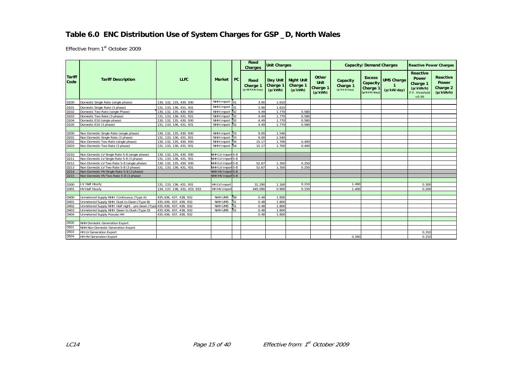# **Table 6.0 ENC Distribution Use of System Charges for GSP \_D, North Wales**

Effective from 1st October 2009

|                       |                                                                          |                              |                   |    | <b>Fixed</b><br><b>Charges</b>           | <b>Unit Charges</b>             |                                          |                                             | Capacity/Demand Charges                    |                                                      |                                 |                                                                               | <b>Reactive Power Charges</b>              |
|-----------------------|--------------------------------------------------------------------------|------------------------------|-------------------|----|------------------------------------------|---------------------------------|------------------------------------------|---------------------------------------------|--------------------------------------------|------------------------------------------------------|---------------------------------|-------------------------------------------------------------------------------|--------------------------------------------|
| <b>Tariff</b><br>Code | <b>Tariff Description</b>                                                | <b>LLFC</b>                  | <b>Market</b>     | PC | <b>Fixed</b><br>Charge 1<br>(p/MPAN/day) | Day Unit<br>Charge 1<br>(p/kWh) | <b>Night Unit</b><br>Charge 1<br>(p/kWh) | Other<br><b>Unit</b><br>Charge 1<br>(p/kWh) | <b>Capacity</b><br>Charge 1<br>(p/kVA/day) | <b>Excess</b><br>Capacity<br>Charge 1<br>(p/kVA/day) | <b>UMS Charge</b><br>(p/kW/day) | <b>Reactive</b><br>Power<br>Charge 1<br>(p/kVArh)<br>P.F. threshold<br>< 0.95 | Reactive<br>Power<br>Charge 2<br>(p/kVArh) |
| D <sub>100</sub>      | Domestic Single Rate (single phase)                                      | 130, 132, 135, 430. 930      | NHH Import 01     |    | 3.90                                     | 1.610                           |                                          |                                             |                                            |                                                      |                                 |                                                                               |                                            |
| D101                  | Domestic Single Rate (3 phase)                                           | 131, 133, 136, 431, 931      | NHH Import 01     |    | 3.90                                     | 1.610                           |                                          |                                             |                                            |                                                      |                                 |                                                                               |                                            |
| D102                  | Domestic Two Rate (single Phase)                                         | 130, 132, 135, 430. 930      | NHH Import 02     |    | 4.49                                     | 1.770                           | 0.580                                    |                                             |                                            |                                                      |                                 |                                                                               |                                            |
| D103                  | Domestic Two Rate (3 phase)                                              | 131, 133, 136, 431, 931      | NHH Import 02     |    | 4.49                                     | 1.770                           | 0.580                                    |                                             |                                            |                                                      |                                 |                                                                               |                                            |
| D104                  | Domestic E10 (single phase)                                              | 130, 132, 135, 430. 930      | NHH Import 02     |    | 4.49                                     | 1.770                           | 0.580                                    |                                             |                                            |                                                      |                                 |                                                                               |                                            |
| D105                  | Domestic E10 (3 phase)                                                   | 131, 133, 136, 431, 931      | NHH Import 02     |    | 4.49                                     | 1.770                           | 0.580                                    |                                             |                                            |                                                      |                                 |                                                                               |                                            |
|                       |                                                                          |                              |                   |    |                                          |                                 |                                          |                                             |                                            |                                                      |                                 |                                                                               |                                            |
| D200                  | Non Domestic Single Rate (single phase)                                  | 130, 132, 135, 430. 930      | NHH Import 03     |    | 9.00                                     | 1.540                           |                                          |                                             |                                            |                                                      |                                 |                                                                               |                                            |
| D201                  | Non Domestic Single Rate (3 phase)                                       | 131, 133, 136, 431, 931      | NHH Import 03     |    | 9.00                                     | 1.540                           |                                          |                                             |                                            |                                                      |                                 |                                                                               |                                            |
| D202                  | Non Domestic Two Rate (single phase)                                     | 130, 132, 135, 430. 930      | NHH Import 04     |    | 15.17                                    | 1.700                           | 0.400                                    |                                             |                                            |                                                      |                                 |                                                                               |                                            |
| D203                  | Non Domestic Two Rate (3 phase)                                          | 131, 133, 136, 431, 931      | NHH Import 04     |    | 15.17                                    | 1.700                           | 0.400                                    |                                             |                                            |                                                      |                                 |                                                                               |                                            |
|                       |                                                                          |                              |                   |    |                                          |                                 |                                          |                                             |                                            |                                                      |                                 |                                                                               |                                            |
| D210                  | Non Domestic LV Single Rate 5-8 (single phase)                           | 130, 132, 135, 430. 930      | NHH LV Import 5-8 |    |                                          |                                 |                                          |                                             |                                            |                                                      |                                 |                                                                               |                                            |
| D211                  | Non Domestic LV Single Rate 5-8 (3 phase)                                | 131, 133, 136, 431, 931      | NHH LV Import 5-8 |    |                                          |                                 |                                          |                                             |                                            |                                                      |                                 |                                                                               |                                            |
| D212                  | Non Domestic LV Two Rate 5-8 (single phase)                              | 130, 132, 135, 430. 930      | NHH LV Import 5-8 |    | 52.67                                    | 1.350                           | 0.250                                    |                                             |                                            |                                                      |                                 |                                                                               |                                            |
| D213                  | Non Domestic LV Two Rate 5-8 (3 phase)                                   | 131, 133, 136, 431, 931      | NHH LV Import 5-8 |    | 52.67                                    | 1.350                           | 0.250                                    |                                             |                                            |                                                      |                                 |                                                                               |                                            |
| D214                  | Non Domestic HV Single Rate 5-8 (3 phase)                                |                              | NHH HV Impor 5-8  |    |                                          |                                 |                                          |                                             |                                            |                                                      |                                 |                                                                               |                                            |
| D <sub>215</sub>      | Non Domestic HV Two Rate 5-8 (3 phase)                                   |                              | NHH HV Import 5-8 |    |                                          |                                 |                                          |                                             |                                            |                                                      |                                 |                                                                               |                                            |
|                       |                                                                          |                              |                   |    |                                          |                                 |                                          |                                             |                                            |                                                      |                                 |                                                                               |                                            |
| D300                  | LV Half Hourly                                                           | 131, 133, 136, 431, 931      | HH LV Import      |    | 31.290                                   | 1.160                           | 0.210                                    |                                             | 1.490                                      |                                                      |                                 | 0.300                                                                         |                                            |
| D301                  | <b>HV Half Hourly</b>                                                    | 134, 137, 138, 432, 433, 933 | HH HV Import      |    | 445.090                                  | 0.900                           | 0.150                                    |                                             | 1.400                                      |                                                      |                                 | 0.200                                                                         |                                            |
|                       |                                                                          |                              |                   |    |                                          |                                 |                                          |                                             |                                            |                                                      |                                 |                                                                               |                                            |
| D400                  | Unmetered Supply NHH Continuous (Type A)                                 | 435, 436, 437, 438, 932      | NHH UMS           | 08 | 0.48                                     | 1.800                           |                                          |                                             |                                            |                                                      |                                 |                                                                               |                                            |
| D401                  | Unmetered Supply NHH Dusk to Dawn (Type B)                               | 435, 436, 437, 438, 932      | NHH UMS           |    | 0.48                                     | 1.800                           |                                          |                                             |                                            |                                                      |                                 |                                                                               |                                            |
| D402                  | Unmetered Supply NHH Half night - pre dawn (Type 435, 436, 437, 438, 932 |                              | NHH UMS           | 01 | 0.48                                     | 1.800                           |                                          |                                             |                                            |                                                      |                                 |                                                                               |                                            |
| D403                  | Unmetered Supply NHH Dawn to Dusk (Type D)                               | 435, 436, 437, 438, 932      | NHH UMS           |    | 0.48                                     | 1.800                           |                                          |                                             |                                            |                                                      |                                 |                                                                               |                                            |
| D404                  | Unmetered Supply Pseudo HH                                               | 435, 436, 437, 438, 932      |                   |    | 0.48                                     | 1.800                           |                                          |                                             |                                            |                                                      |                                 |                                                                               |                                            |
|                       |                                                                          |                              |                   |    |                                          |                                 |                                          |                                             |                                            |                                                      |                                 |                                                                               |                                            |
| D500                  | NHH Domestic Generation Export                                           |                              |                   |    |                                          |                                 |                                          |                                             |                                            |                                                      |                                 |                                                                               |                                            |
| D501                  | NHH Non Domestic Generation Export                                       |                              |                   |    |                                          |                                 |                                          |                                             |                                            |                                                      |                                 |                                                                               |                                            |
| D <sub>503</sub>      | HH LV Generation Export                                                  |                              |                   |    |                                          |                                 |                                          |                                             |                                            |                                                      |                                 | 0.310                                                                         |                                            |
| D <sub>504</sub>      | <b>HH HV Generation Export</b>                                           |                              |                   |    |                                          |                                 |                                          |                                             | 0.260                                      |                                                      |                                 | 0.210                                                                         |                                            |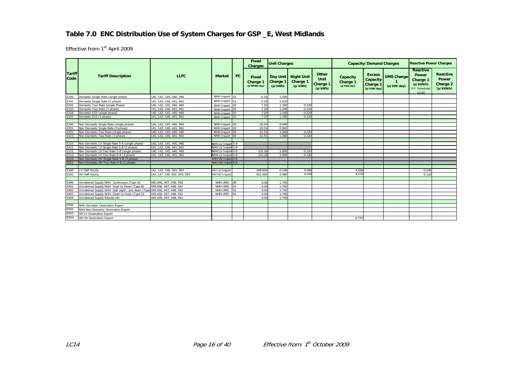# **Table 7.0 ENC Distribution Use of System Charges for GSP \_E, West Midlands**

Effective from 1st April 2009

|                       |                                                  |                              |                     |              | Fixed<br><b>Charges</b>           | <b>Unit Charges</b> |                                            |                                      |                                     | <b>Capacity/Demand Charges</b>                     |                                 | <b>Reactive Power Charges</b>                                                 |                                                   |
|-----------------------|--------------------------------------------------|------------------------------|---------------------|--------------|-----------------------------------|---------------------|--------------------------------------------|--------------------------------------|-------------------------------------|----------------------------------------------------|---------------------------------|-------------------------------------------------------------------------------|---------------------------------------------------|
| <b>Tariff</b><br>Code | <b>Tariff Description</b>                        | <b>LLFC</b>                  | <b>Market</b>       | <b>PC</b>    | Fixed<br>Charge 1<br>(p/MPAN/day) | Charge 1<br>(p/kWh) | Day Unit Night Unit<br>Charge 1<br>(p/kWh) | Other<br>Unit<br>Charge 1<br>(p/kWh) | Capacity<br>Charge 1<br>(p/kVA/day) | <b>Excess</b><br>Capacity<br>Charge<br>(p/kVA/day) | <b>UMS Charge</b><br>(p/kW/day) | <b>Reactive</b><br>Power<br>Charge 1<br>(p/kVArh)<br>P.F. threshold<br>< 0.95 | <b>Reactive</b><br>Power<br>Charge 2<br>(p/kVArh) |
| E100                  | Domestic Single Rate (single phase)              | 140. 142. 145. 440. 940      | NHH Import 01       |              | 6.18                              | 1.030               |                                            |                                      |                                     |                                                    |                                 |                                                                               |                                                   |
| E101                  | Domestic Single Rate (3 phase)                   | 141, 143, 146, 441, 941      | NHH Import 01       |              | 6.18                              | 1.030               |                                            |                                      |                                     |                                                    |                                 |                                                                               |                                                   |
| E102                  | Domestic Two Rate (single Phase)                 | 140. 142. 145. 440. 940      | NHH Import 02       |              | 7.29                              | 1.190               | 0.220                                      |                                      |                                     |                                                    |                                 |                                                                               |                                                   |
| E103                  | Domestic Two Rate (3 phase)                      | 141, 143, 146, 441, 941      | NHH Import 02       |              | 7.29                              | 1.190               | 0.220                                      |                                      |                                     |                                                    |                                 |                                                                               |                                                   |
| E104                  | Domestic E10 (single phase)                      | 140, 142, 145, 440, 940      | NHH Import 02       |              | 7.29                              | 1.190               | 0.220                                      |                                      |                                     |                                                    |                                 |                                                                               |                                                   |
| E105                  | Domestic E10 (3 phase)                           | 141, 143, 146, 441, 941      | NHH Import 02       |              | 7.29                              | 1.190               | 0.220                                      |                                      |                                     |                                                    |                                 |                                                                               |                                                   |
|                       |                                                  |                              |                     |              |                                   |                     |                                            |                                      |                                     |                                                    |                                 |                                                                               |                                                   |
| E200                  | Non Domestic Single Rate (single phase)          | 140, 142, 145, 440, 940      | NHH Import 03       |              | 20.54                             | 0.940               |                                            |                                      |                                     |                                                    |                                 |                                                                               |                                                   |
| E201                  | Non Domestic Single Rate (3 phase)               | 141, 143, 146, 441, 941      | NHH Import 03       |              | 20.54                             | 0.940               |                                            |                                      |                                     |                                                    |                                 |                                                                               |                                                   |
| E202                  | Non Domestic Two Rate (single phase)             | 140, 142, 145, 440, 940      | NHH Import 04       |              | 21.55                             | 1.060               | 0.220                                      |                                      |                                     |                                                    |                                 |                                                                               |                                                   |
| E203                  | Non Domestic Two Rate (3 phase)                  | 141, 143, 146, 441, 941      | NHH Import 04       |              | 21.55                             | 1.060               | 0.220                                      |                                      |                                     |                                                    |                                 |                                                                               |                                                   |
|                       |                                                  |                              |                     |              |                                   |                     |                                            |                                      |                                     |                                                    |                                 |                                                                               |                                                   |
| E210                  | Non Domestic LV Single Rate 5-8 (single phase)   | 140. 142. 145. 440. 940      | NHH LV Import 5-8   |              |                                   |                     |                                            |                                      |                                     |                                                    |                                 |                                                                               |                                                   |
| E211                  | Non Domestic LV Single Rate 5-8 (3 phase)        | 141, 143, 146, 441, 941      | NHH LV Import 5-8   |              |                                   |                     |                                            |                                      |                                     |                                                    |                                 |                                                                               |                                                   |
| E212                  | Non Domestic LV Two Rate 5-8 (single phase)      | 140, 142, 145, 440, 940      | NHH LV Import 5-8   |              | 151.00                            | 1.000               | 0.220                                      |                                      |                                     |                                                    |                                 |                                                                               |                                                   |
| E213                  | Non Domestic LV Two Rate 5-8 (3 phase)           | 141, 143, 146, 441, 941      | NHH LV Import 5-8   |              | 151.00                            | 1.000               | 0.220                                      |                                      |                                     |                                                    |                                 |                                                                               |                                                   |
| E214                  | Non Domestic HV Single Rate 5-8 (3 phase)        |                              | NHH HV Impor 5-8    |              |                                   |                     |                                            |                                      |                                     |                                                    |                                 |                                                                               |                                                   |
| E215                  | Non Domestic HV Two Rate 5-8 (3 phase)           |                              | NHH HV Impor 5-8    |              |                                   |                     |                                            |                                      |                                     |                                                    |                                 |                                                                               |                                                   |
|                       |                                                  |                              |                     |              |                                   |                     |                                            |                                      |                                     |                                                    |                                 |                                                                               |                                                   |
| E300                  | LV Half Hourly                                   | 141, 143, 146, 441, 941      | <b>HH LV Import</b> |              | 169,000                           | 0.140               | 0.060                                      |                                      | 5.690                               |                                                    |                                 | 0.240                                                                         |                                                   |
| E301                  | <b>HV Half Hourly</b>                            | 144, 147, 148, 442, 443, 943 | HH HV Import        |              | 451.000                           | 0.080               | 0.040                                      |                                      | 4.570                               |                                                    |                                 | 0.120                                                                         |                                                   |
|                       |                                                  |                              |                     |              |                                   |                     |                                            |                                      |                                     |                                                    |                                 |                                                                               |                                                   |
| E400                  | Unmetered Supply NHH Continuous (Type A)         | 445.446, 447, 448, 942       | NHH UMS             | $\sqrt{108}$ | 0.00                              | 1.740               |                                            |                                      |                                     |                                                    |                                 |                                                                               |                                                   |
| E401                  | Unmetered Supply NHH Dusk to Dawn (Type B)       | 445.446, 447, 448, 942       | NHH UMS             | 101          | 0.00                              | 1.740               |                                            |                                      |                                     |                                                    |                                 |                                                                               |                                                   |
| E402                  | Unmetered Supply NHH Half night - pre dawn (Type | 445.446.447.448.942          | NHH UMS             | 01           | 0.00                              | 1.740               |                                            |                                      |                                     |                                                    |                                 |                                                                               |                                                   |
| E403                  | Unmetered Supply NHH Dawn to Dusk (Type D)       | 445,446, 447, 448, 942       | NHH UMS             | 101          | 0.00                              | 1.740               |                                            |                                      |                                     |                                                    |                                 |                                                                               |                                                   |
| E404                  | Unmetered Supply Pseudo HH                       | 445,446, 447, 448, 942       |                     |              | 0.00                              | 1.740               |                                            |                                      |                                     |                                                    |                                 |                                                                               |                                                   |
|                       |                                                  |                              |                     |              |                                   |                     |                                            |                                      |                                     |                                                    |                                 |                                                                               |                                                   |
| E500                  | NHH Domestic Generation Export                   |                              |                     |              |                                   |                     |                                            |                                      |                                     |                                                    |                                 |                                                                               |                                                   |
| E501                  | NHH Non Domestic Generation Export               |                              |                     |              |                                   |                     |                                            |                                      |                                     |                                                    |                                 |                                                                               |                                                   |
| E503                  | HH LV Generation Export                          |                              |                     |              |                                   |                     |                                            |                                      |                                     |                                                    |                                 |                                                                               |                                                   |
| E504                  | <b>HH HV Generation Export</b>                   |                              |                     |              |                                   |                     |                                            |                                      | 0.770                               |                                                    |                                 |                                                                               |                                                   |
|                       |                                                  |                              |                     |              |                                   |                     |                                            |                                      |                                     |                                                    |                                 |                                                                               |                                                   |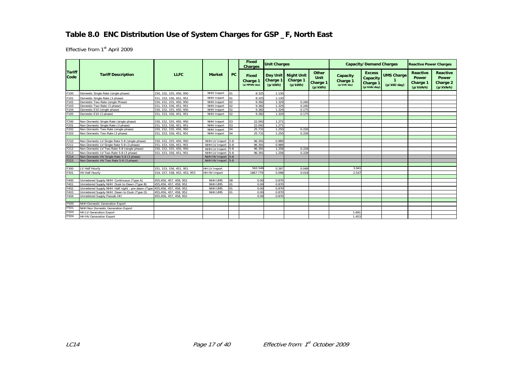# **Table 8.0 ENC Distribution Use of System Charges for GSP \_F, North East**

Effective from 1st April 2009

|                       |                                                  |                              |                   |         | <b>Fixed</b><br><b>Charges</b>           | <b>Unit Charges</b>             |                                          |                                                    |                                     | <b>Capacity/Demand Charges</b>                            |                                 | <b>Reactive Power Charges</b>              |                                                          |
|-----------------------|--------------------------------------------------|------------------------------|-------------------|---------|------------------------------------------|---------------------------------|------------------------------------------|----------------------------------------------------|-------------------------------------|-----------------------------------------------------------|---------------------------------|--------------------------------------------|----------------------------------------------------------|
| <b>Tariff</b><br>Code | <b>Tariff Description</b>                        | <b>LLFC</b>                  | <b>Market</b>     | PC      | <b>Fixed</b><br>Charge 1<br>(p/MPAN/day) | Day Unit<br>Charge 1<br>(p/kWh) | <b>Night Unit</b><br>Charge 1<br>(p/kWh) | <b>Other</b><br>Unit<br><b>Charge 1</b><br>(p/kWh) | Capacity<br>Charge 1<br>(p/kVA/day) | <b>Excess</b><br>Capacity<br><b>Charge</b><br>(p/kVA/day) | <b>UMS Charge</b><br>(p/kW/day) | Reactive<br>Power<br>Charge 1<br>(p/kVArh) | <b>Reactive</b><br><b>Power</b><br>Charge 2<br>(p/kVArh) |
| F100                  | Domestic Single Rate (single phase)              | 150, 152, 155, 450, 950      | NHH Import        | 01      | 8.325                                    | 1.130                           |                                          |                                                    |                                     |                                                           |                                 |                                            |                                                          |
| F101                  | Domestic Single Rate (3 phase)                   | 151, 153, 156, 451, 951      | NHH Import        |         | 8.325                                    | 1.130                           |                                          |                                                    |                                     |                                                           |                                 |                                            |                                                          |
| F102                  | Domestic Two Rate (single Phase)                 | 150, 152, 155, 450, 950      | NHH Import        | 02      | 9.382                                    | 1.329                           | 0.240                                    |                                                    |                                     |                                                           |                                 |                                            |                                                          |
| F103                  | Domestic Two Rate (3 phase)                      | 151, 153, 156, 451, 951      | NHH Import        | 02      | 9.382                                    | 1.329                           | 0.240                                    |                                                    |                                     |                                                           |                                 |                                            |                                                          |
| F104                  | Domestic E10 (single phase)                      | 150, 152, 155, 450, 950      | NHH Import        | 02      | 9.382                                    | 1.329                           | 0.175                                    |                                                    |                                     |                                                           |                                 |                                            |                                                          |
| F105                  | Domestic E10 (3 phase)                           | 151, 153, 156, 451, 951      | NHH Import        | 02      | 9.382                                    | 1.329                           | 0.175                                    |                                                    |                                     |                                                           |                                 |                                            |                                                          |
|                       |                                                  |                              |                   |         |                                          |                                 |                                          |                                                    |                                     |                                                           |                                 |                                            |                                                          |
| F200                  | Non Domestic Single Rate (single phase)          | 150, 152, 155, 450, 950      | NHH Import        | 03      | 22.092                                   | 1.271                           |                                          |                                                    |                                     |                                                           |                                 |                                            |                                                          |
| F201                  | Non Domestic Single Rate (3 phase)               | 151. 153. 156. 451. 951      | NHH Import        | 03      | 22.092                                   | 1.271                           |                                          |                                                    |                                     |                                                           |                                 |                                            |                                                          |
| F202                  | Non Domestic Two Rate (single phase)             | 150. 152. 155. 450. 950      | NHH Import        | 04      | 25.731                                   | 1.250                           | 0.226                                    |                                                    |                                     |                                                           |                                 |                                            |                                                          |
| F203                  | Non Domestic Two Rate (3 phase)                  | 151, 153, 156, 451, 951      | NHH Import        | 04      | 25.731                                   | 1.250                           | 0.226                                    |                                                    |                                     |                                                           |                                 |                                            |                                                          |
|                       |                                                  |                              |                   |         |                                          |                                 |                                          |                                                    |                                     |                                                           |                                 |                                            |                                                          |
| F210                  | Non Domestic LV Single Rate 5-8 (single phase)   | 150, 152, 155, 450, 950      | NHH LV Import     | $5 - 8$ | 96.391                                   | 0.989                           |                                          |                                                    |                                     |                                                           |                                 |                                            |                                                          |
| F211                  | Non Domestic LV Single Rate 5-8 (3 phase)        | 151, 153, 156, 451, 951      | NHH LV Import 5-8 |         | 96.391                                   | 0.989                           |                                          |                                                    |                                     |                                                           |                                 |                                            |                                                          |
| F212                  | Non Domestic LV Two Rate 5-8 (single phase)      | 150, 152, 155, 450, 950      | NHH LV Import     | $5 - 8$ | 96.391                                   | 1.258                           | 0.228                                    |                                                    |                                     |                                                           |                                 |                                            |                                                          |
| F213                  | Non Domestic LV Two Rate 5-8 (3 phase)           | 151, 153, 156, 451, 951      | NHH LV Import 5-8 |         | 96.391                                   | 1.258                           | 0.228                                    |                                                    |                                     |                                                           |                                 |                                            |                                                          |
| F214                  | Non Domestic HV Single Rate 5-8 (3 phase)        |                              | NHH HV Import 5-8 |         |                                          |                                 |                                          |                                                    |                                     |                                                           |                                 |                                            |                                                          |
| F215                  | Non Domestic HV Two Rate 5-8 (3 phase)           |                              | NHH HV Import 5-8 |         |                                          |                                 |                                          |                                                    |                                     |                                                           |                                 |                                            |                                                          |
|                       |                                                  |                              |                   |         |                                          |                                 |                                          |                                                    |                                     |                                                           |                                 |                                            |                                                          |
| F300                  | LV Half Hourly                                   | 151, 153, 156, 451, 951      | HH LV Import      |         | 563.549                                  | 0.267                           | 0.048                                    |                                                    | 3.941                               |                                                           |                                 |                                            |                                                          |
| F301                  | <b>HV Half Hourly</b>                            | 154, 157, 158, 452, 453, 953 | HH HV Import      |         | 1867.779                                 | 0.098                           | 0.018                                    |                                                    | 2.547                               |                                                           |                                 |                                            |                                                          |
|                       |                                                  |                              |                   |         |                                          |                                 |                                          |                                                    |                                     |                                                           |                                 |                                            |                                                          |
| F400                  | Unmetered Supply NHH Continuous (Type A)         | 455.456.457.458.952          | NHH UMS           | 08      | 0.00                                     | 0.870                           |                                          |                                                    |                                     |                                                           |                                 |                                            |                                                          |
| F401                  | Unmetered Supply NHH Dusk to Dawn (Type B)       | 455,456, 457, 458, 952       | NHH UMS           | 01      | 0.00                                     | 0.870                           |                                          |                                                    |                                     |                                                           |                                 |                                            |                                                          |
| F402                  | Unmetered Supply NHH Half night - pre dawn (Type | 455,456, 457, 458, 952       | NHH UMS           | 01      | 0.00                                     | 0.870                           |                                          |                                                    |                                     |                                                           |                                 |                                            |                                                          |
| F403                  | Unmetered Supply NHH Dawn to Dusk (Type D)       | 455,456, 457, 458, 952       | <b>NHH UMS</b>    | 01      | 0.00                                     | 0.870                           |                                          |                                                    |                                     |                                                           |                                 |                                            |                                                          |
| F404                  | Unmetered Supply Pseudo HH                       | 455,456, 457, 458, 952       |                   |         | 0.00                                     | 0.870                           |                                          |                                                    |                                     |                                                           |                                 |                                            |                                                          |
|                       |                                                  |                              |                   |         |                                          |                                 |                                          |                                                    |                                     |                                                           |                                 |                                            |                                                          |
| F500                  | <b>NHH Domestic Generation Export</b>            |                              |                   |         |                                          |                                 |                                          |                                                    |                                     |                                                           |                                 |                                            |                                                          |
| F501                  | NHH Non Domestic Generation Export               |                              |                   |         |                                          |                                 |                                          |                                                    |                                     |                                                           |                                 |                                            |                                                          |
| F503                  | <b>HH LV Generation Export</b>                   |                              |                   |         |                                          |                                 |                                          |                                                    | 1.69                                |                                                           |                                 |                                            |                                                          |
| F504                  | <b>HH HV Generation Export</b>                   |                              |                   |         |                                          |                                 |                                          |                                                    | 1.453                               |                                                           |                                 |                                            |                                                          |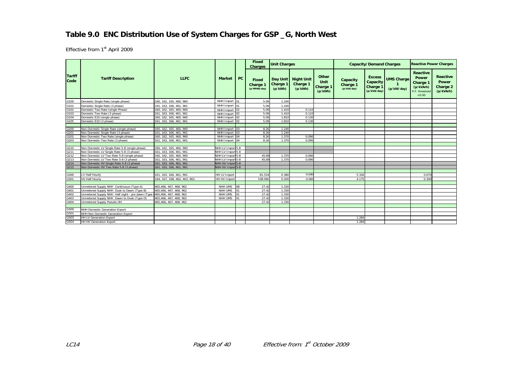# **Table 9.0 ENC Distribution Use of System Charges for GSP \_G, North West**

|                       |                                                  |                              |                     |                 | Fixed<br>Charges                  | <b>Unit Charges</b>             |                                          |                                      |                                     | <b>Capacity/Demand Charges</b>                       |                                 | <b>Reactive Power Charges</b>                                          |                                                   |
|-----------------------|--------------------------------------------------|------------------------------|---------------------|-----------------|-----------------------------------|---------------------------------|------------------------------------------|--------------------------------------|-------------------------------------|------------------------------------------------------|---------------------------------|------------------------------------------------------------------------|---------------------------------------------------|
| <b>Tariff</b><br>Code | <b>Tariff Description</b>                        | <b>LLFC</b>                  | <b>Market</b>       | <b>PC</b>       | Fixed<br>Charge 1<br>(p/MPAN/day) | Day Unit<br>Charge 1<br>(p/kWh) | <b>Night Unit</b><br>Charge 1<br>(p/kWh) | Other<br>Unit<br>Charge 1<br>(p/kWh) | Capacity<br>Charge 1<br>(p/kVA/day) | <b>Excess</b><br>Capacity<br>Charge 1<br>(p/kVA/day) | <b>UMS Charge</b><br>(p/kW/day) | Reactive<br>Power<br>Charge 1<br>(p/kVArh)<br>P.F. threshold<br>< 0.95 | Reactive<br><b>Power</b><br>Charge 2<br>(p/kVArh) |
| G100                  | Domestic Single Rate (single phase)              | 160, 162, 165, 460, 960      | NHH Import 01       |                 | 5.09                              | 1.240                           |                                          |                                      |                                     |                                                      |                                 |                                                                        |                                                   |
| G101                  | Domestic Single Rate (3 phase)                   | 161, 163, 166, 461, 961      | NHH Import          | lo <sub>1</sub> | 5.09                              | 1.240                           |                                          |                                      |                                     |                                                      |                                 |                                                                        |                                                   |
| G102                  | Domestic Two Rate (single Phase)                 | 160. 162. 165. 460. 960      | NHH Import 02       |                 | 5.09                              | 1.410                           | 0.110                                    |                                      |                                     |                                                      |                                 |                                                                        |                                                   |
| G103                  | Domestic Two Rate (3 phase)                      | 161. 163. 166. 461. 961      | NHH Import 02       |                 | 5.09                              | 1.410                           | 0.110                                    |                                      |                                     |                                                      |                                 |                                                                        |                                                   |
| G104                  | Domestic E10 (single phase)                      | 160, 162, 165, 460, 960      | NHH Import 02       |                 | 5.09                              | 1.810                           | 0.130                                    |                                      |                                     |                                                      |                                 |                                                                        |                                                   |
| G105                  | Domestic E10 (3 phase)                           | 161, 163, 166, 461, 961      | NHH Import 02       |                 | 5.09                              | 1.810                           | 0.130                                    |                                      |                                     |                                                      |                                 |                                                                        |                                                   |
|                       |                                                  |                              |                     |                 |                                   |                                 |                                          |                                      |                                     |                                                      |                                 |                                                                        |                                                   |
| G200                  | Non Domestic Single Rate (single phase)          | 160, 162, 165, 460, 960      | NHH Import 03       |                 | 8.26                              | 1.240                           |                                          |                                      |                                     |                                                      |                                 |                                                                        |                                                   |
| G201                  | Non Domestic Single Rate (3 phase)               | 161, 163, 166, 461, 961      | NHH Import 03       |                 | 8.26                              | 1.240                           |                                          |                                      |                                     |                                                      |                                 |                                                                        |                                                   |
| G202                  | Non Domestic Two Rate (single phase)             | 160, 162, 165, 460, 960      | NHH Import 04       |                 | 8.26                              | 1.370                           | 0.090                                    |                                      |                                     |                                                      |                                 |                                                                        |                                                   |
| G203                  | Non Domestic Two Rate (3 phase)                  | 161, 163, 166, 461, 961      | NHH Import 04       |                 | 8.26                              | 1.370                           | 0.090                                    |                                      |                                     |                                                      |                                 |                                                                        |                                                   |
|                       |                                                  |                              |                     |                 |                                   |                                 |                                          |                                      |                                     |                                                      |                                 |                                                                        |                                                   |
| G210                  | Non Domestic LV Single Rate 5-8 (single phase)   | 160, 162, 165, 460, 960      | NHH LV Import 5-8   |                 |                                   |                                 |                                          |                                      |                                     |                                                      |                                 |                                                                        |                                                   |
| G211                  | Non Domestic LV Single Rate 5-8 (3 phase)        | 161, 163, 166, 461, 961      | NHH LV Import 5-8   |                 |                                   |                                 |                                          |                                      |                                     |                                                      |                                 |                                                                        |                                                   |
| G212                  | Non Domestic LV Two Rate 5-8 (single phase)      | 160, 162, 165, 460, 960      | NHH LV Import 5-8   |                 | 45.89                             | 1.370                           | 0.090                                    |                                      |                                     |                                                      |                                 |                                                                        |                                                   |
| G213                  | Non Domestic LV Two Rate 5-8 (3 phase)           | 161, 163, 166, 461, 961      | NHH LV Import 5-8   |                 | 45.89                             | 1.370                           | 0.090                                    |                                      |                                     |                                                      |                                 |                                                                        |                                                   |
| G214                  | Non Domestic HV Single Rate 5-8 (3 phase)        | 161, 163, 166, 461, 961      | NHH HV Import 5-8   |                 |                                   |                                 |                                          |                                      |                                     |                                                      |                                 |                                                                        |                                                   |
| G215                  | Non Domestic HV Two Rate 5-8 (3 phase)           | 161, 163, 166, 461, 961      | NHH HV Impor 5-8    |                 |                                   |                                 |                                          |                                      |                                     |                                                      |                                 |                                                                        |                                                   |
|                       |                                                  |                              |                     |                 |                                   |                                 |                                          |                                      |                                     |                                                      |                                 |                                                                        |                                                   |
| G300                  | LV Half Hourly                                   | 161. 163. 166. 461. 961      | <b>HH LV Import</b> |                 | 81.534                            | 0.380                           | 0.090                                    |                                      | 5.326                               |                                                      |                                 | 0.670                                                                  |                                                   |
| G301                  | HV Half Hourly                                   | 164, 167, 168, 462, 463, 963 | HH HV Import        |                 | 538,060                           | 0.200                           | 0.060                                    |                                      | 4.175                               |                                                      |                                 | 0.300                                                                  |                                                   |
|                       |                                                  |                              |                     |                 |                                   |                                 |                                          |                                      |                                     |                                                      |                                 |                                                                        |                                                   |
| G400                  | Unmetered Supply NHH Continuous (Type A)         | 465,466, 467, 468, 962       | NHH UMS             | 08              | 27.42                             | 1.330                           |                                          |                                      |                                     |                                                      |                                 |                                                                        |                                                   |
| G401                  | Unmetered Supply NHH Dusk to Dawn (Type B)       | 465.466.467.468.962          | NHH UMS             | 01              | 27.42                             | 1.330                           |                                          |                                      |                                     |                                                      |                                 |                                                                        |                                                   |
| G402                  | Unmetered Supply NHH Half night - pre dawn (Type | (465,466, 467, 468, 962)     | NHH UMS             | 01              | 27.42                             | 1.330                           |                                          |                                      |                                     |                                                      |                                 |                                                                        |                                                   |
| G403                  | Unmetered Supply NHH Dawn to Dusk (Type D)       | 465,466, 467, 468, 962       | NHH UMS             | 01              | 27.42                             | 1.330                           |                                          |                                      |                                     |                                                      |                                 |                                                                        |                                                   |
| G404                  | Unmetered Supply Pseudo HH                       | 465,466, 467, 468, 962       |                     |                 | 27.42                             | 1.330                           |                                          |                                      |                                     |                                                      |                                 |                                                                        |                                                   |
|                       |                                                  |                              |                     |                 |                                   |                                 |                                          |                                      |                                     |                                                      |                                 |                                                                        |                                                   |
| G500                  | NHH Domestic Generation Export                   |                              |                     |                 |                                   |                                 |                                          |                                      |                                     |                                                      |                                 |                                                                        |                                                   |
| G501                  | NHH Non Domestic Generation Export               |                              |                     |                 |                                   |                                 |                                          |                                      |                                     |                                                      |                                 |                                                                        |                                                   |
| G503                  | <b>HH LV Generation Export</b>                   |                              |                     |                 |                                   |                                 |                                          |                                      | 1.284                               |                                                      |                                 |                                                                        |                                                   |
| G504                  | <b>HH HV Generation Export</b>                   |                              |                     |                 |                                   |                                 |                                          |                                      | 1.284                               |                                                      |                                 |                                                                        |                                                   |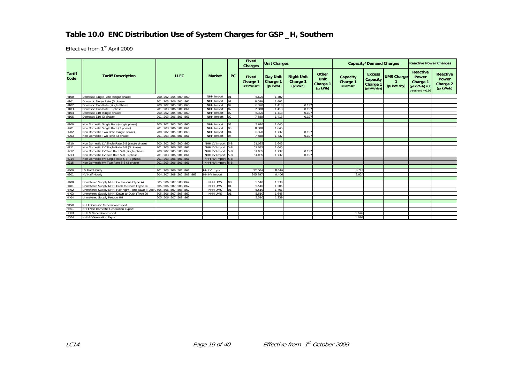# **Table 10.0 ENC Distribution Use of System Charges for GSP \_H, Southern**

Effective from 1st April 2009

|                       |                                                                           |                              |                     |                 | Fixed<br><b>Charges</b>           | <b>Unit Charges</b>                    |                                          |                                      |                                     | <b>Capacity/Demand Charges</b>                                  |                                 | <b>Reactive Power Charges</b>                                               |                                                   |
|-----------------------|---------------------------------------------------------------------------|------------------------------|---------------------|-----------------|-----------------------------------|----------------------------------------|------------------------------------------|--------------------------------------|-------------------------------------|-----------------------------------------------------------------|---------------------------------|-----------------------------------------------------------------------------|---------------------------------------------------|
| <b>Tariff</b><br>Code | <b>Tariff Description</b>                                                 | <b>LLFC</b>                  | <b>Market</b>       | <b>PC</b>       | Fixed<br>Charge 1<br>(p/MPAN/day) | <b>Day Unit</b><br>Charge 1<br>(p/kWh) | <b>Night Unit</b><br>Charge 1<br>(p/kWh) | Other<br>Unit<br>Charge 1<br>(p/kWh) | Capacity<br>Charge 1<br>(p/kVA/day) | <b>Excess</b><br>Capacity<br>Charge <sup>®</sup><br>(p/kVA/day) | <b>UMS Charge</b><br>(p/kW/day) | Reactive<br><b>Power</b><br>Charge 1<br>(p/kVArh) P.F<br>threshold $< 0.95$ | <b>Reactive</b><br>Power<br>Charge 2<br>(p/kVArh) |
| H100                  | Domestic Single Rate (single phase)                                       | 200. 202. 205. 500. 860      | NHH Import          | 01              | 5.620                             | 1.402                                  |                                          |                                      |                                     |                                                                 |                                 |                                                                             |                                                   |
| H101                  | Domestic Single Rate (3 phase)                                            | 201. 203. 206. 501. 861      | NHH Import          | lo <sub>1</sub> | 8.080                             | 1.402                                  |                                          |                                      |                                     |                                                                 |                                 |                                                                             |                                                   |
| H102                  | Domestic Two Rate (single Phase)                                          | 200, 202, 205, 500, 860      | NHH Import          | 02              | 6.320                             | 1.413                                  | 0.197                                    |                                      |                                     |                                                                 |                                 |                                                                             |                                                   |
| H103                  | Domestic Two Rate (3 phase)                                               | 201, 203, 206, 501, 861      | NHH Import          | 02              | 7.580                             | 1.413                                  | 0.197                                    |                                      |                                     |                                                                 |                                 |                                                                             |                                                   |
| H104                  | Domestic E10 (single phase)                                               | 200, 202, 205, 500, 860      | NHH Import          | 02              | 6.320                             | 1.413                                  | 0.197                                    |                                      |                                     |                                                                 |                                 |                                                                             |                                                   |
| H105                  | Domestic E10 (3 phase)                                                    | 201, 203, 206, 501, 861      | NHH Import          | 02              | 7.580                             | 1.413                                  | 0.197                                    |                                      |                                     |                                                                 |                                 |                                                                             |                                                   |
|                       |                                                                           |                              |                     |                 |                                   |                                        |                                          |                                      |                                     |                                                                 |                                 |                                                                             |                                                   |
| H <sub>200</sub>      | Non Domestic Single Rate (single phase)                                   | 200. 202. 205. 500. 860      | NHH Import          | 03              | 5.620                             | 1.645                                  |                                          |                                      |                                     |                                                                 |                                 |                                                                             |                                                   |
| H201                  | Non Domestic Single Rate (3 phase)                                        | 201, 203, 206, 501, 861      | NHH Import          | 0 <sub>3</sub>  | 8.080                             | 1.645                                  |                                          |                                      |                                     |                                                                 |                                 |                                                                             |                                                   |
| H <sub>202</sub>      | Non Domestic Two Rate (single phase)                                      | 200, 202, 205, 500, 860      | NHH Import          | 04              | 6.320                             | 1.737                                  | 0.197                                    |                                      |                                     |                                                                 |                                 |                                                                             |                                                   |
| H <sub>203</sub>      | Non Domestic Two Rate (3 phase)                                           | 201, 203, 206, 501, 861      | NHH Import          | 04              | 7.580                             | 1.737                                  | 0.197                                    |                                      |                                     |                                                                 |                                 |                                                                             |                                                   |
|                       |                                                                           |                              |                     |                 |                                   |                                        |                                          |                                      |                                     |                                                                 |                                 |                                                                             |                                                   |
| H <sub>210</sub>      | Non Domestic LV Single Rate 5-8 (single phase)                            | 200. 202. 205. 500. 860      | NHH LV Import 5-8   |                 | 61.085                            | 1.645                                  |                                          |                                      |                                     |                                                                 |                                 |                                                                             |                                                   |
| H <sub>211</sub>      | Non Domestic LV Single Rate 5-8 (3 phase)                                 | 201, 203, 206, 501, 861      | NHH LV Import 5-8   |                 | 61.085                            | 1.645                                  |                                          |                                      |                                     |                                                                 |                                 |                                                                             |                                                   |
| H212                  | Non Domestic LV Two Rate 5-8 (single phase)                               | 200, 202, 205, 500, 860      | NHH LV Import 5-8   |                 | 61.085                            | 1.737                                  | 0.197                                    |                                      |                                     |                                                                 |                                 |                                                                             |                                                   |
| H213                  | Non Domestic LV Two Rate 5-8 (3 phase)                                    | 201, 203, 206, 501, 861      | NHH LV Import 5-8   |                 | 61.085                            | 1.737                                  | 0.197                                    |                                      |                                     |                                                                 |                                 |                                                                             |                                                   |
| H214                  | Non Domestic HV Single Rate 5-8 (3 phase)                                 | 201, 203, 206, 501, 861      | NHH HV Import 5-8   |                 |                                   |                                        |                                          |                                      |                                     |                                                                 |                                 |                                                                             |                                                   |
| H215                  | Non Domestic HV Two Rate 5-8 (3 phase)                                    | 201, 203, 206, 501, 861      | NHH HV Import 5-8   |                 |                                   |                                        |                                          |                                      |                                     |                                                                 |                                 |                                                                             |                                                   |
|                       |                                                                           |                              |                     |                 |                                   |                                        |                                          |                                      |                                     |                                                                 |                                 |                                                                             |                                                   |
| H300                  | LV Half Hourly                                                            | 201, 203, 206, 501, 861      | HH LV Import        |                 | 52.504                            | 0.544                                  |                                          |                                      | 3.715                               |                                                                 |                                 |                                                                             |                                                   |
| H301                  | <b>HV Half Hourly</b>                                                     | 204, 207, 208, 502, 503, 863 | <b>HH HV Import</b> |                 | 345.797                           | 0.406                                  |                                          |                                      | 3.024                               |                                                                 |                                 |                                                                             |                                                   |
|                       |                                                                           |                              |                     |                 |                                   |                                        |                                          |                                      |                                     |                                                                 |                                 |                                                                             |                                                   |
| H400                  | Unmetered Supply NHH Continuous (Type A)                                  | 505, 506, 507, 508, 862      | NHH UMS             | 08              | 5.510                             | 1.239                                  |                                          |                                      |                                     |                                                                 |                                 |                                                                             |                                                   |
| H401                  | Unmetered Supply NHH Dusk to Dawn (Type B)                                | 505, 506, 507, 508, 862      | NHH UMS             | 01              | 5.510                             | 1.205                                  |                                          |                                      |                                     |                                                                 |                                 |                                                                             |                                                   |
| H402                  | Unmetered Supply NHH Half night - pre dawn (Type 0505, 506, 507, 508, 862 |                              | NHH UMS             | 01              | 5.510                             | 1.761                                  |                                          |                                      |                                     |                                                                 |                                 |                                                                             |                                                   |
| H403                  | Unmetered Supply NHH Dawn to Dusk (Type D)                                | 505. 506. 507. 508. 862      | NHH UMS             | 01              | 5.510                             | 1.645                                  |                                          |                                      |                                     |                                                                 |                                 |                                                                             |                                                   |
| H404                  | Unmetered Supply Pseudo HH                                                | 505, 506, 507, 508, 862      |                     |                 | 5.510                             | 1.239                                  |                                          |                                      |                                     |                                                                 |                                 |                                                                             |                                                   |
|                       |                                                                           |                              |                     |                 |                                   |                                        |                                          |                                      |                                     |                                                                 |                                 |                                                                             |                                                   |
| H500                  | <b>NHH Domestic Generation Export</b>                                     |                              |                     |                 |                                   |                                        |                                          |                                      |                                     |                                                                 |                                 |                                                                             |                                                   |
| H501                  | NHH Non Domestic Generation Export                                        |                              |                     |                 |                                   |                                        |                                          |                                      |                                     |                                                                 |                                 |                                                                             |                                                   |
| H503                  | <b>HH LV Generation Export</b>                                            |                              |                     |                 |                                   |                                        |                                          |                                      | 1.676                               |                                                                 |                                 |                                                                             |                                                   |
| H504                  | <b>HH HV Generation Export</b>                                            |                              |                     |                 |                                   |                                        |                                          |                                      | 1.676                               |                                                                 |                                 |                                                                             |                                                   |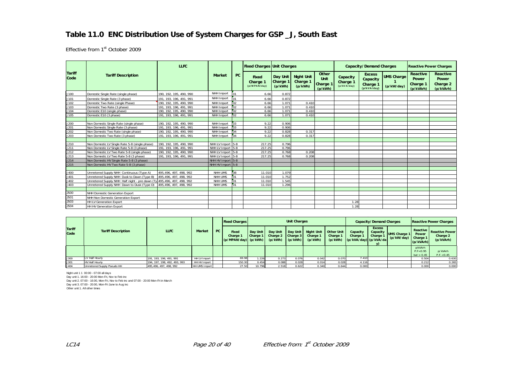#### **Table 11.0 ENC Distribution Use of System Charges for GSP \_J, South East**

Effective from 1<sup>st</sup> October 2009

|                       |                                                                         | LLFC                    |                   |    | <b>Fixed Charges Unit Charges</b> |                                 |                                          |                                                        |                                            | Capacity/Demand Charges                                     |                                 |                                            | <b>Reactive Power Charges</b>                     |
|-----------------------|-------------------------------------------------------------------------|-------------------------|-------------------|----|-----------------------------------|---------------------------------|------------------------------------------|--------------------------------------------------------|--------------------------------------------|-------------------------------------------------------------|---------------------------------|--------------------------------------------|---------------------------------------------------|
| <b>Tariff</b><br>Code | <b>Tariff Description</b>                                               |                         | <b>Market</b>     | PC | Fixed<br>Charge 1<br>(p/MPAN/day) | Day Unit<br>Charge 1<br>(p/kWh) | <b>Night Unit</b><br>Charge 1<br>(p/kWh) | Other<br><b>Unit</b><br>Charge <sup>*</sup><br>(p/kWh) | <b>Capacity</b><br>Charge 1<br>(p/kVA/day) | <b>Excess</b><br>Capacity<br><b>Charge 1</b><br>(p/kVA/day) | <b>UMS Charge</b><br>(p/kW/day) | Reactive<br>Power<br>Charge 1<br>(p/kVArh) | <b>Reactive</b><br>Power<br>Charge 2<br>(p/kVArh) |
| J100                  | Domestic Single Rate (single phase)                                     | 190, 192, 195, 490, 990 | NHH Import        | 01 | 6.66                              | 0.872                           |                                          |                                                        |                                            |                                                             |                                 |                                            |                                                   |
| J101                  | Domestic Single Rate (3 phase)                                          | 191, 193, 196, 491, 991 | NHH Import        | 01 | 6.66                              | 0.872                           |                                          |                                                        |                                            |                                                             |                                 |                                            |                                                   |
| J102                  | Domestic Two Rate (single Phase)                                        | 190, 192, 195, 490, 990 | NHH Import        | 02 | 6.66                              | 1.071                           | 0.410                                    |                                                        |                                            |                                                             |                                 |                                            |                                                   |
| J103                  | Domestic Two Rate (3 phase)                                             | 191, 193, 196, 491, 991 | NHH Import        | 02 | 6.66                              | 1.071                           | 0.410                                    |                                                        |                                            |                                                             |                                 |                                            |                                                   |
| J104                  | Domestic E10 (single phase)                                             | 190, 192, 195, 490, 990 | NHH Import        | 02 | 6.66                              | 1.071                           | 0.410                                    |                                                        |                                            |                                                             |                                 |                                            |                                                   |
| J105                  | Domestic E10 (3 phase)                                                  | 191, 193, 196, 491, 991 | NHH Import        | 02 | 6.66                              | 1.071                           | 0.410                                    |                                                        |                                            |                                                             |                                 |                                            |                                                   |
|                       |                                                                         |                         |                   |    |                                   |                                 |                                          |                                                        |                                            |                                                             |                                 |                                            |                                                   |
| J200                  | Non Domestic Single Rate (single phase)                                 | 190. 192. 195. 490. 990 | NHH Import        | 03 | 9.22                              | 0.906                           |                                          |                                                        |                                            |                                                             |                                 |                                            |                                                   |
| J201                  | Non Domestic Single Rate (3 phase)                                      | 191, 193, 196, 491, 991 | NHH Import        | 03 | 9.22                              | 0.906                           |                                          |                                                        |                                            |                                                             |                                 |                                            |                                                   |
| J202                  | Non Domestic Two Rate (single phase)                                    | 190, 192, 195, 490, 990 | NHH Import        | 04 | 9.22                              | 0.828                           | 0.317                                    |                                                        |                                            |                                                             |                                 |                                            |                                                   |
| J203                  | Non Domestic Two Rate (3 phase)                                         | 191, 193, 196, 491, 991 | NHH Import        | 04 | 9.22                              | 0.828                           | 0.317                                    |                                                        |                                            |                                                             |                                 |                                            |                                                   |
|                       |                                                                         |                         |                   |    |                                   |                                 |                                          |                                                        |                                            |                                                             |                                 |                                            |                                                   |
| J210                  | Non Domestic LV Single Rate 5-8 (single phase)                          | 190, 192, 195, 490, 990 | NHH LV Import 5-8 |    | 217.25                            | 0.796                           |                                          |                                                        |                                            |                                                             |                                 |                                            |                                                   |
| J211                  | Non Domestic LV Single Rate 5-8 (3 phase)                               | 191, 193, 196, 491, 991 | NHH LV Import 5-8 |    | 217.25                            | 0.796                           |                                          |                                                        |                                            |                                                             |                                 |                                            |                                                   |
| J212                  | Non Domestic LV Two Rate 5-8 (single phase)                             | 190, 192, 195, 490, 990 | NHH LV Import 5-8 |    | 217.25                            | 0.768                           | 0.208                                    |                                                        |                                            |                                                             |                                 |                                            |                                                   |
| J213                  | Non Domestic LV Two Rate 5-8 (3 phase)                                  | 191, 193, 196, 491, 991 | NHH LV Import 5-8 |    | 217.25                            | 0.768                           | 0.208                                    |                                                        |                                            |                                                             |                                 |                                            |                                                   |
| J214                  | Non Domestic HV Single Rate 5-8 (3 phase)                               |                         | NHH HV Import 5-8 |    |                                   |                                 |                                          |                                                        |                                            |                                                             |                                 |                                            |                                                   |
| J215                  | Non Domestic HV Two Rate 5-8 (3 phase)                                  |                         | NHH HV Import 5-8 |    |                                   |                                 |                                          |                                                        |                                            |                                                             |                                 |                                            |                                                   |
|                       |                                                                         |                         |                   |    |                                   |                                 |                                          |                                                        |                                            |                                                             |                                 |                                            |                                                   |
| J400                  | Unmetered Supply NHH Continuous (Type A)                                | 495.496.497.498.992     | NHH UMS           | 08 | 11.010                            | 1.079                           |                                          |                                                        |                                            |                                                             |                                 |                                            |                                                   |
| J401                  | Unmetered Supply NHH Dusk to Dawn (Type B)                              | 495, 496, 497, 498, 992 | NHH UMS           | 01 | 11.010                            | 1.752                           |                                          |                                                        |                                            |                                                             |                                 |                                            |                                                   |
| J402                  | Unmetered Supply NHH Half night - pre dawn (Ty 495, 496, 497, 498, 992) |                         | NHH UMS           |    | 11.010                            | 1.545                           |                                          |                                                        |                                            |                                                             |                                 |                                            |                                                   |
| J403                  | Unmetered Supply NHH Dawn to Dusk (Type D)                              | 495, 496, 497, 498, 992 | NHH UMS           | 01 | 11.010                            | 1.296                           |                                          |                                                        |                                            |                                                             |                                 |                                            |                                                   |
|                       |                                                                         |                         |                   |    |                                   |                                 |                                          |                                                        |                                            |                                                             |                                 |                                            |                                                   |
| <b>J500</b>           | NHH Domestic Generation Export                                          |                         |                   |    |                                   |                                 |                                          |                                                        |                                            |                                                             |                                 |                                            |                                                   |
| J501                  | NHH Non Domestic Generation Export                                      |                         |                   |    |                                   |                                 |                                          |                                                        |                                            |                                                             |                                 |                                            |                                                   |
| <b>J503</b>           | HH LV Generation Export                                                 |                         |                   |    |                                   |                                 |                                          |                                                        | 1.28                                       |                                                             |                                 |                                            |                                                   |
| J504                  | <b>HH HV Generation Export</b>                                          |                         |                   |    |                                   |                                 |                                          |                                                        | 1.28                                       |                                                             |                                 |                                            |                                                   |

|                       |                            |                              |                      |           | <b>Fixed Charges</b>                                 |                      |                                 | Unit Charges        |                                            |                        |                                                       | Capacity/Demand Charges               |                                            |                                     | <b>Reactive Power Charges</b>                    |
|-----------------------|----------------------------|------------------------------|----------------------|-----------|------------------------------------------------------|----------------------|---------------------------------|---------------------|--------------------------------------------|------------------------|-------------------------------------------------------|---------------------------------------|--------------------------------------------|-------------------------------------|--------------------------------------------------|
| <b>Tariff</b><br>Code | <b>Tariff Description</b>  | <b>LLFC</b>                  | <b>Market</b>        | <b>PC</b> | <b>Fixed</b><br>Charge 1<br>$(p/MPAN/day)$ $(p/kWh)$ | Day Unit<br>Charge 1 | Day Unit<br>Charge 2<br>(p/kWh) | Charge 3<br>(p/kWh) | Day Unit Night Unit<br>Charge 1<br>(p/kWh) | Other Unit<br>Charge 1 | Capacity<br>Charge 1<br>(p/kWh) (p/kVA/day) (p/kVA/da | <b>Excess</b><br>Capacity<br>Charge 1 | <b>UMS Charge 1</b><br>(p/kW/day) Charge 1 | Power<br>(p/kVArh)                  | Reactive Reactive Power<br>Charge 2<br>(p/kVArh) |
|                       |                            |                              |                      |           |                                                      |                      |                                 |                     |                                            |                        |                                                       |                                       |                                            | p/kVArh<br>P.F < 0.95<br>but > 0.45 | p/kVArh<br>P.F. < 0.45                           |
| J300                  | LV Half Hourly             | 191, 193, 196, 491, 991      | HH LV Import         |           | 69.98                                                | 1.226                | 0.273                           | 0.07                | 0.042                                      | 0.070                  | 7.410                                                 |                                       |                                            | 0.504                               | 0.630                                            |
| J301                  | <b>HV Half Hourly</b>      | 194, 197, 198, 492, 493, 993 | HH HV Import         |           | 150.30                                               | 0.454                | 0.088                           | 0.028               | 0.014                                      | 0.028                  | 4.116                                                 |                                       |                                            | 0.212                               | 0.265                                            |
| J404                  | Unmetered Supply Pseudo HH | 495,496, 497, 498, 992       | <b>HH UMS Import</b> |           | 27.50                                                | 10.7961              | 2.518                           | 0.622               | 0.340                                      | 0.644                  | 0.000                                                 |                                       |                                            | 0.000                               | 0.000                                            |

Night unit 1 1 00:00 - 07:00 all days Day unit 1. 16:00 - 20:00 Mon-Fri, Nov to Feb inc Day unit 2. 07:00 - 16:00, Mon-Fri, Nov to Feb inc and 07:00 - 20:00 Mon-Fri in March Day unit 3. 07:00 - 20:00, Mon-Fri June to Aug inc Other unit 1. All other times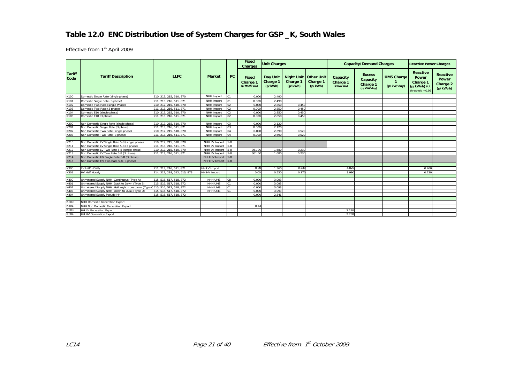# **Table 12.0 ENC Distribution Use of System Charges for GSP \_K, South Wales**

|                       |                                                                            |                              |                     |                 | Fixed<br><b>Charges</b>           | <b>Unit Charges</b>             |                                                     |                     |                                     | <b>Capacity/Demand Charges</b>                       |                                 | <b>Reactive Power Charges</b>                                                      |                                                   |
|-----------------------|----------------------------------------------------------------------------|------------------------------|---------------------|-----------------|-----------------------------------|---------------------------------|-----------------------------------------------------|---------------------|-------------------------------------|------------------------------------------------------|---------------------------------|------------------------------------------------------------------------------------|---------------------------------------------------|
| <b>Tariff</b><br>Code | <b>Tariff Description</b>                                                  | <b>LLFC</b>                  | <b>Market</b>       | <b>PC</b>       | Fixed<br>Charge 1<br>(p/MPAN/day) | Day Unit<br>Charge 1<br>(p/kWh) | <b>Night Unit Other Unit</b><br>Charge 1<br>(p/kWh) | Charge 1<br>(p/kWh) | Capacity<br>Charge 1<br>(p/kVA/day) | <b>Excess</b><br>Capacity<br>Charge 1<br>(p/kVA/day) | <b>UMS Charge</b><br>(p/kW/day) | <b>Reactive</b><br><b>Power</b><br>Charge 1<br>(p/kVArh) P.F<br>threshold $< 0.95$ | <b>Reactive</b><br>Power<br>Charge 2<br>(p/kVArh) |
| K100                  | Domestic Single Rate (single phase)                                        | 210, 212, 215, 510, 870      | NHH Import          | 01              | 0.000                             | 2.490                           |                                                     |                     |                                     |                                                      |                                 |                                                                                    |                                                   |
| K101                  | Domestic Single Rate (3 phase)                                             | 211, 213, 216, 511, 871      | NHH Import          |                 | 0.000                             | 2.490                           |                                                     |                     |                                     |                                                      |                                 |                                                                                    |                                                   |
| K102                  | Domestic Two Rate (single Phase)                                           | 210. 212. 215. 510. 870      | NHH Import          | 02              | 0.000                             | 2.850                           | 0.450                                               |                     |                                     |                                                      |                                 |                                                                                    |                                                   |
| K103                  | Domestic Two Rate (3 phase)                                                | 211, 213, 216, 511, 871      | NHH Import          | 02              | 0.000                             | 2.850                           | 0.450                                               |                     |                                     |                                                      |                                 |                                                                                    |                                                   |
| K104                  | Domestic E10 (single phase)                                                | 210, 212, 215, 510, 870      | NHH Import          | 02              | 0.000                             | 2.850                           | 0.450                                               |                     |                                     |                                                      |                                 |                                                                                    |                                                   |
| K105                  | Domestic E10 (3 phase)                                                     | 211, 213, 216, 511, 871      | NHH Import          | 02 <sub>o</sub> | 0.000                             | 2.850                           | 0.450                                               |                     |                                     |                                                      |                                 |                                                                                    |                                                   |
|                       |                                                                            |                              |                     |                 |                                   |                                 |                                                     |                     |                                     |                                                      |                                 |                                                                                    |                                                   |
| K200                  | Non Domestic Single Rate (single phase)                                    | 210. 212. 215. 510. 870      | NHH Import          |                 | 0.000                             | 2.120                           |                                                     |                     |                                     |                                                      |                                 |                                                                                    |                                                   |
| K201                  | Non Domestic Single Rate (3 phase)                                         | 211, 213, 216, 511, 871      | NHH Import          | 03              | 0.000                             | 2.120                           |                                                     |                     |                                     |                                                      |                                 |                                                                                    |                                                   |
| K202                  | Non Domestic Two Rate (single phase)                                       | 210, 212, 215, 510, 870      | NHH Import          | 04              | 0.000                             | 2.690                           | 0.520                                               |                     |                                     |                                                      |                                 |                                                                                    |                                                   |
| K203                  | Non Domestic Two Rate (3 phase)                                            | 211, 213, 216, 511, 871      | NHH Import          | In4             | 0.000                             | 2.690                           | 0.520                                               |                     |                                     |                                                      |                                 |                                                                                    |                                                   |
|                       |                                                                            |                              |                     |                 |                                   |                                 |                                                     |                     |                                     |                                                      |                                 |                                                                                    |                                                   |
| K210                  | Non Domestic LV Single Rate 5-8 (single phase)                             | 210, 212, 215, 510, 870      | NHH LV Import 5-8   |                 |                                   |                                 |                                                     |                     |                                     |                                                      |                                 |                                                                                    |                                                   |
| K211                  | Non Domestic LV Single Rate 5-8 (3 phase)                                  | 211, 213, 216, 511, 871      | NHH LV Import 5-8   |                 |                                   |                                 |                                                     |                     |                                     |                                                      |                                 |                                                                                    |                                                   |
| K212                  | Non Domestic LV Two Rate 5-8 (single phase)                                | 210, 212, 215, 510, 870      | NHH LV Import 5-8   |                 | 361.00                            | 1.680                           | 0.230                                               |                     |                                     |                                                      |                                 |                                                                                    |                                                   |
| K213                  | Non Domestic LV Two Rate 5-8 (3 phase)                                     | 211, 213, 216, 511, 871      | NHH LV Import 5-8   |                 | 361.00                            | 1.680                           | 0.230                                               |                     |                                     |                                                      |                                 |                                                                                    |                                                   |
| K214                  | Non Domestic HV Single Rate 5-8 (3 phase)                                  |                              | NHH HV Import 5-8   |                 |                                   |                                 |                                                     |                     |                                     |                                                      |                                 |                                                                                    |                                                   |
| K215                  | Non Domestic HV Two Rate 5-8 (3 phase)                                     |                              | NHH HV Import 5-8   |                 |                                   |                                 |                                                     |                     |                                     |                                                      |                                 |                                                                                    |                                                   |
|                       |                                                                            |                              |                     |                 |                                   |                                 |                                                     |                     |                                     |                                                      |                                 |                                                                                    |                                                   |
| K300                  | LV Half Hourly                                                             | 211, 213, 216, 511, 871      | <b>HH LV Import</b> |                 | 0.00                              | 1.360                           | 0.230                                               |                     | 4.820                               |                                                      |                                 | 0.400                                                                              |                                                   |
| K301                  | <b>HV Half Hourly</b>                                                      | 214, 217, 218, 512, 513, 873 | HH HV Import        |                 | 0.00                              | 0.530                           | 0.17                                                |                     | 3.990                               |                                                      |                                 | 0.230                                                                              |                                                   |
|                       |                                                                            |                              |                     |                 |                                   |                                 |                                                     |                     |                                     |                                                      |                                 |                                                                                    |                                                   |
| K400                  | Unmetered Supply NHH Continuous (Type A)                                   | 515, 516, 517, 518, 872      | NHH UMS             | 80              | 0.000                             | 3.093                           |                                                     |                     |                                     |                                                      |                                 |                                                                                    |                                                   |
| K401                  | Unmetered Supply NHH Dusk to Dawn (Type B)                                 | 515. 516. 517. 518. 872      | NHH UMS             | 01              | 0.000                             | 3.093                           |                                                     |                     |                                     |                                                      |                                 |                                                                                    |                                                   |
| K402                  | Unmetered Supply NHH Half night - pre dawn (Type 0515, 516, 517, 518, 872) |                              | NHH UMS             | 01              | 0.000                             | 3.093                           |                                                     |                     |                                     |                                                      |                                 |                                                                                    |                                                   |
| K403                  | Unmetered Supply NHH Dawn to Dusk (Type D)                                 | 515, 516, 517, 518, 872      | NHH UMS             | 01              | 0.000                             | 3.093                           |                                                     |                     |                                     |                                                      |                                 |                                                                                    |                                                   |
| K404                  | Unmetered Supply Pseudo HH                                                 | 515. 516. 517. 518. 872      |                     |                 | 0.000                             | 2.541                           |                                                     |                     |                                     |                                                      |                                 |                                                                                    |                                                   |
|                       |                                                                            |                              |                     |                 |                                   |                                 |                                                     |                     |                                     |                                                      |                                 |                                                                                    |                                                   |
| K500                  | NHH Domestic Generation Export                                             |                              |                     |                 |                                   |                                 |                                                     |                     |                                     |                                                      |                                 |                                                                                    |                                                   |
| K501                  | NHH Non Domestic Generation Export                                         |                              |                     |                 | 8.63                              |                                 |                                                     |                     |                                     |                                                      |                                 |                                                                                    |                                                   |
| K503                  | <b>HH LV Generation Export</b>                                             |                              |                     |                 |                                   |                                 |                                                     |                     | 2.210                               |                                                      |                                 |                                                                                    |                                                   |
| K504                  | <b>HH HV Generation Export</b>                                             |                              |                     |                 |                                   |                                 |                                                     |                     | 2.730                               |                                                      |                                 |                                                                                    |                                                   |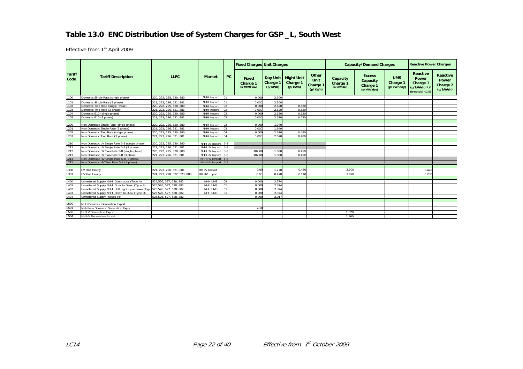# **Table 13.0 ENC Distribution Use of System Charges for GSP \_L, South West**

|                       |                                                 |                         |                     |                 | <b>Fixed Charges Unit Charges</b> |                     |                                            |                                      |                                     | <b>Capacity/Demand Charges</b>                       |                                      | <b>Reactive Power Charges</b>                                                      |                                                          |
|-----------------------|-------------------------------------------------|-------------------------|---------------------|-----------------|-----------------------------------|---------------------|--------------------------------------------|--------------------------------------|-------------------------------------|------------------------------------------------------|--------------------------------------|------------------------------------------------------------------------------------|----------------------------------------------------------|
| <b>Tariff</b><br>Code | <b>Tariff Description</b>                       | <b>LLFC</b>             | <b>Market</b>       | <b>PC</b>       | Fixed<br>Charge 1<br>(p/MPAN/day) | Charge 1<br>(p/kWh) | Day Unit Night Unit<br>Charge 1<br>(p/kWh) | Other<br>Unit<br>Charge 1<br>(p/kWh) | Capacity<br>Charge 1<br>(p/kVA/day) | <b>Excess</b><br>Capacity<br>Charge 1<br>(p/kVA/day) | <b>UMS</b><br>Charge 1<br>(p/kW/day) | <b>Reactive</b><br><b>Power</b><br>Charge 1<br>(p/kVArh) P.F<br>threshold $<$ 0.95 | <b>Reactive</b><br><b>Power</b><br>Charge 2<br>(p/kVArh) |
| L100                  | Domestic Single Rate (single phase)             | 220, 222, 225, 520, 880 | NHH Import          |                 | 0.000                             | 2.300               |                                            |                                      |                                     |                                                      |                                      |                                                                                    |                                                          |
| L101                  | Domestic Single Rate (3 phase)                  | 221, 223, 226, 521, 881 | NHH Import          | $^{\text{n}}$   | 0.000                             | 2.300               |                                            |                                      |                                     |                                                      |                                      |                                                                                    |                                                          |
| L102                  | Domestic Two Rate (single Phase)                | 220. 222. 225. 520. 880 | NHH Import          | 102             | 0.000                             | 2.620               | 0.620                                      |                                      |                                     |                                                      |                                      |                                                                                    |                                                          |
| L <sub>103</sub>      | Domestic Two Rate (3 phase)                     | 221. 223. 226. 521. 881 | NHH Import          | 02              | 0.000                             | 2.620               | 0.620                                      |                                      |                                     |                                                      |                                      |                                                                                    |                                                          |
| L104                  | Domestic E10 (single phase)                     | 220, 222, 225, 520, 880 | NHH Import          | lo <sub>2</sub> | 0.000                             | 2.620               | 0.620                                      |                                      |                                     |                                                      |                                      |                                                                                    |                                                          |
| L105                  | Domestic E10 (3 phase)                          | 221, 223, 226, 521, 881 | NHH Import          | lo2             | 0.000                             | 2.620               | 0.620                                      |                                      |                                     |                                                      |                                      |                                                                                    |                                                          |
|                       |                                                 |                         |                     |                 |                                   |                     |                                            |                                      |                                     |                                                      |                                      |                                                                                    |                                                          |
| L200                  | Non Domestic Single Rate (single phase)         | 220. 222. 225. 520. 880 | NHH Import          | 0.3             | 0.000                             | 1.940               |                                            |                                      |                                     |                                                      |                                      |                                                                                    |                                                          |
| L <sub>201</sub>      | Non Domestic Single Rate (3 phase)              | 221, 223, 226, 521, 881 | NHH Import          | lo <sub>3</sub> | 0.000                             | 1.940               |                                            |                                      |                                     |                                                      |                                      |                                                                                    |                                                          |
| L202                  | Non Domestic Two Rate (single phase)            | 220, 222, 225, 520, 880 | NHH Import          | 04              | 0.000                             | 2.670               | 0.480                                      |                                      |                                     |                                                      |                                      |                                                                                    |                                                          |
| L203                  | Non Domestic Two Rate (3 phase)                 | 221, 223, 226, 521, 881 | NHH Import          | 04              | 0.000                             | 2.670               | 0.480                                      |                                      |                                     |                                                      |                                      |                                                                                    |                                                          |
|                       |                                                 |                         |                     |                 |                                   |                     |                                            |                                      |                                     |                                                      |                                      |                                                                                    |                                                          |
| L210                  | Non Domestic LV Single Rate 5-8 (single phase)  | 220, 222, 225, 520, 880 | NHH LV Import 5-8   |                 |                                   |                     |                                            |                                      |                                     |                                                      |                                      |                                                                                    |                                                          |
| L211                  | Non Domestic LV Single Rate 5-8 (3 phase)       | 221, 223, 226, 521, 881 | NHH LV Import 5-8   |                 |                                   |                     |                                            |                                      |                                     |                                                      |                                      |                                                                                    |                                                          |
| L <sub>212</sub>      | Non Domestic LV Two Rate 5-8 (single phase)     | 220. 222. 225. 520. 880 | NHH LV Import 5-8   |                 | 187.00                            | 1.880               | 0.450                                      |                                      |                                     |                                                      |                                      |                                                                                    |                                                          |
| L213                  | Non Domestic LV Two Rate 5-8 (3 phase)          | 221, 223, 226, 521, 881 | NHH LV Import 5-8   |                 | 187.00                            | 1.880               | 0.450                                      |                                      |                                     |                                                      |                                      |                                                                                    |                                                          |
| L214                  | Non Domestic HV Single Rate 5-8 (3 phase)       |                         | NHH HV Import 5-8   |                 |                                   |                     |                                            |                                      |                                     |                                                      |                                      |                                                                                    |                                                          |
| L215                  | Non Domestic HV Two Rate 5-8 (3 phase)          |                         | NHH HV Import 5-8   |                 |                                   |                     |                                            |                                      |                                     |                                                      |                                      |                                                                                    |                                                          |
|                       |                                                 |                         |                     |                 |                                   |                     |                                            |                                      |                                     |                                                      |                                      |                                                                                    |                                                          |
| L300                  | LV Half Hourly                                  | 221. 223. 226. 521. 881 | <b>HH LV Import</b> |                 | 0.00                              | 1.270               | 0.450                                      |                                      | 3.900                               |                                                      |                                      | 0.420                                                                              |                                                          |
| L301                  | <b>HV Half Hourly</b>                           | 224.227.228.522.523.883 | HH HV Import        |                 | 0.00                              | 0.470               | 0.140                                      |                                      | 3.870                               |                                                      |                                      | 0.230                                                                              |                                                          |
|                       |                                                 |                         |                     |                 |                                   |                     |                                            |                                      |                                     |                                                      |                                      |                                                                                    |                                                          |
| L400                  | Unmetered Supply NHH Continuous (Type A)        | 525,526, 527, 528, 882  | NHH UMS             | los             | 0.000                             | 2.374               |                                            |                                      |                                     |                                                      |                                      |                                                                                    |                                                          |
| L401                  | Unmetered Supply NHH Dusk to Dawn (Type B)      | 525.526.527.528.882     | NHH UMS             | 01              | 0.000                             | 2.374               |                                            |                                      |                                     |                                                      |                                      |                                                                                    |                                                          |
| L402                  | Unmetered Supply NHH Half night - pre dawn (Typ | 525,526, 527, 528, 882  | NHH UMS             | 01              | 0.000                             | 2.374               |                                            |                                      |                                     |                                                      |                                      |                                                                                    |                                                          |
| L403                  | Unmetered Supply NHH Dawn to Dusk (Type D)      | 525.526. 527. 528. 882  | NHH UMS             |                 | 0.000                             | 2.374               |                                            |                                      |                                     |                                                      |                                      |                                                                                    |                                                          |
| L404                  | Unmetered Supply Pseudo HH                      | 525.526. 527. 528. 882  |                     |                 | 0.000                             | 2.917               |                                            |                                      |                                     |                                                      |                                      |                                                                                    |                                                          |
|                       |                                                 |                         |                     |                 |                                   |                     |                                            |                                      |                                     |                                                      |                                      |                                                                                    |                                                          |
| L500                  | NHH Domestic Generation Export                  |                         |                     |                 |                                   |                     |                                            |                                      |                                     |                                                      |                                      |                                                                                    |                                                          |
| L501                  | NHH Non Domestic Generation Export              |                         |                     |                 | 7.10                              |                     |                                            |                                      |                                     |                                                      |                                      |                                                                                    |                                                          |
| L503                  | <b>HH LV Generation Export</b>                  |                         |                     |                 |                                   |                     |                                            |                                      | 1.820                               |                                                      |                                      |                                                                                    |                                                          |
| L504                  | <b>HH HV Generation Export</b>                  |                         |                     |                 |                                   |                     |                                            |                                      | 1.860                               |                                                      |                                      |                                                                                    |                                                          |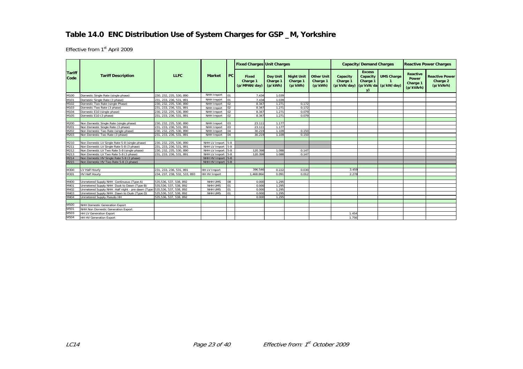# **Table 14.0 ENC Distribution Use of System Charges for GSP \_M, Yorkshire**

|                       |                                                  |                              |                     |           | <b>Fixed Charges Unit Charges</b> |                                 |                                          |                                          |                                                          | <b>Capacity/Demand Charges</b>              |                   |                                                          | <b>Reactive Power Charges</b>                  |
|-----------------------|--------------------------------------------------|------------------------------|---------------------|-----------|-----------------------------------|---------------------------------|------------------------------------------|------------------------------------------|----------------------------------------------------------|---------------------------------------------|-------------------|----------------------------------------------------------|------------------------------------------------|
| <b>Tariff</b><br>Code | <b>Tariff Description</b>                        | <b>LLFC</b>                  | <b>Market</b>       | <b>PC</b> | Fixed<br>Charge 1<br>(p/MPAN/day) | Day Unit<br>Charge 1<br>(p/kWh) | <b>Night Unit</b><br>Charge 1<br>(p/kWh) | <b>Other Unit</b><br>Charge 1<br>(p/kWh) | Capacity<br>Charge 1<br>(p/kVA/day) (p/kVA/da (p/kW/day) | <b>Excess</b><br>Capacity<br>Charge 1<br>V) | <b>UMS Charge</b> | <b>Reactive</b><br><b>Power</b><br>Charge 1<br>(p/kVArh) | <b>Reactive Power</b><br>Charge 2<br>(p/kVArh) |
| M100                  | Domestic Single Rate (single phase)              | 230. 232. 235. 530. 890      | NHH Import          | 01        | 7.434                             | 1.039                           |                                          |                                          |                                                          |                                             |                   |                                                          |                                                |
| M101                  | Domestic Single Rate (3 phase)                   | 231, 233, 236, 531, 891      | NHH Impor           | 01        | 7.434                             | 1.039                           |                                          |                                          |                                                          |                                             |                   |                                                          |                                                |
| M102                  | Domestic Two Rate (single Phase)                 | 230, 232, 235, 530, 890      | NHH Import          | 02        | 8.347                             | 1.271                           | 0.172                                    |                                          |                                                          |                                             |                   |                                                          |                                                |
| M103                  | Domestic Two Rate (3 phase)                      | 231, 233, 236, 531, 891      | NHH Import          | 02        | 8.347                             | 1.271                           | 0.172                                    |                                          |                                                          |                                             |                   |                                                          |                                                |
| M104                  | Domestic E10 (single phase)                      | 230, 232, 235, 530, 890      | NHH Import          | 02        | 8.347                             | 1.271                           | 0.079                                    |                                          |                                                          |                                             |                   |                                                          |                                                |
| M105                  | Domestic E10 (3 phase)                           | 231, 233, 236, 531, 891      | NHH Import          | 02        | 8.347                             | 1.271                           | 0.079                                    |                                          |                                                          |                                             |                   |                                                          |                                                |
|                       |                                                  |                              |                     |           |                                   |                                 |                                          |                                          |                                                          |                                             |                   |                                                          |                                                |
| M200                  | Non Domestic Single Rate (single phase)          | 230, 232, 235, 530, 890      | NHH Import          | 03        | 23.111                            | 1.177                           |                                          |                                          |                                                          |                                             |                   |                                                          |                                                |
| M201                  | Non Domestic Single Rate (3 phase)               | 231, 233, 236, 531, 891      | NHH Import          | 103       | 23.111                            | 1.177                           |                                          |                                          |                                                          |                                             |                   |                                                          |                                                |
| M202                  | Non Domestic Two Rate (single phase)             | 230, 232, 235, 530, 890      | NHH Import          | 04        | 30.219                            | 1.109                           | 0.150                                    |                                          |                                                          |                                             |                   |                                                          |                                                |
| M203                  | Non Domestic Two Rate (3 phase)                  | 231, 233, 236, 531, 891      | NHH Import          | 04        | 30.219                            | 1.109                           | 0.150                                    |                                          |                                                          |                                             |                   |                                                          |                                                |
|                       |                                                  |                              |                     |           |                                   |                                 |                                          |                                          |                                                          |                                             |                   |                                                          |                                                |
| M210                  | Non Domestic LV Single Rate 5-8 (single phase)   | 230, 232, 235, 530, 890      | NHH LV Import       | $5-8$     |                                   |                                 |                                          |                                          |                                                          |                                             |                   |                                                          |                                                |
| M211                  | Non Domestic LV Single Rate 5-8 (3 phase)        | 231, 233, 236, 531, 891      | NHH LV Import 5-8   |           |                                   |                                 |                                          |                                          |                                                          |                                             |                   |                                                          |                                                |
| M212                  | Non Domestic LV Two Rate 5-8 (single phase)      | 230, 232, 235, 530, 890      | NHH LV Import 5-8   |           | 120.398                           | 1.088                           | 0.147                                    |                                          |                                                          |                                             |                   |                                                          |                                                |
| M213                  | Non Domestic LV Two Rate 5-8 (3 phase)           | 231, 233, 236, 531, 891      | NHH LV Import 5-8   |           | 120.398                           | 1.088                           | 0.147                                    |                                          |                                                          |                                             |                   |                                                          |                                                |
| M214                  | Non Domestic HV Single Rate 5-8 (3 phase)        |                              | NHH HV Import 5-8   |           |                                   |                                 |                                          |                                          |                                                          |                                             |                   |                                                          |                                                |
| M215                  | Non Domestic HV Two Rate 5-8 (3 phase)           |                              | NHH HV Import 5-8   |           |                                   |                                 |                                          |                                          |                                                          |                                             |                   |                                                          |                                                |
|                       |                                                  |                              |                     |           |                                   |                                 |                                          |                                          |                                                          |                                             |                   |                                                          |                                                |
| M300                  | LV Half Hourly                                   | 231, 233, 236, 531, 891      | <b>HH LV Import</b> |           | 396.546                           | 0.222                           | 0.030                                    |                                          | 3.459                                                    |                                             |                   |                                                          |                                                |
| M301                  | <b>HV Half Hourly</b>                            | 234, 237, 238, 532, 533, 893 | <b>HH HV Import</b> |           | 1.468.864                         | 0.091                           | 0.012                                    |                                          | 2.278                                                    |                                             |                   |                                                          |                                                |
|                       |                                                  |                              |                     |           |                                   |                                 |                                          |                                          |                                                          |                                             |                   |                                                          |                                                |
| M400                  | Unmetered Supply NHH Continuous (Type A)         | 535,536, 537, 538, 892       | NHH UMS             | 08        | 0.000                             | 1.295                           |                                          |                                          |                                                          |                                             |                   |                                                          |                                                |
| M401                  | Unmetered Supply NHH Dusk to Dawn (Type B)       | 535,536, 537, 538, 892       | NHH UMS             | 01        | 0.000                             | 1.295                           |                                          |                                          |                                                          |                                             |                   |                                                          |                                                |
| M402                  | Unmetered Supply NHH Half night - pre dawn (Type | 535,536, 537, 538, 892       | NHH UMS             | 01        | 0.000                             | 1.295                           |                                          |                                          |                                                          |                                             |                   |                                                          |                                                |
| M403                  | Unmetered Supply NHH Dawn to Dusk (Type D)       | 535,536, 537, 538, 892       | <b>NHH UMS</b>      | 01        | 0.000                             | 1.295                           |                                          |                                          |                                                          |                                             |                   |                                                          |                                                |
| M404                  | <b>Unmetered Supply Pseudo HH</b>                | 535.536, 537, 538, 892       |                     |           | 0.000                             | 1.295                           |                                          |                                          |                                                          |                                             |                   |                                                          |                                                |
|                       |                                                  |                              |                     |           |                                   |                                 |                                          |                                          |                                                          |                                             |                   |                                                          |                                                |
| M500                  | <b>NHH Domestic Generation Export</b>            |                              |                     |           |                                   |                                 |                                          |                                          |                                                          |                                             |                   |                                                          |                                                |
| M501                  | NHH Non Domestic Generation Export               |                              |                     |           |                                   |                                 |                                          |                                          |                                                          |                                             |                   |                                                          |                                                |
| M503                  | <b>HH LV Generation Export</b>                   |                              |                     |           |                                   |                                 |                                          |                                          | 1.454                                                    |                                             |                   |                                                          |                                                |
| M504                  | <b>HH HV Generation Export</b>                   |                              |                     |           |                                   |                                 |                                          |                                          | 1.756                                                    |                                             |                   |                                                          |                                                |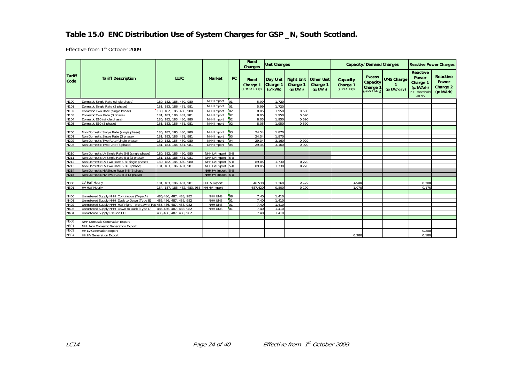# **Table 15.0 ENC Distribution Use of System Charges for GSP \_N, South Scotland.**

Effective from 1st October 2009

|                       |                                                                                       |                              |                                        |                        | <b>Fixed</b><br>Charges                  | <b>Unit Charges</b>             |                                          |                                          | Capacity/Demand Charges                    |                                                      |                                 | <b>Reactive Power Charges</b>                                          |                                                          |
|-----------------------|---------------------------------------------------------------------------------------|------------------------------|----------------------------------------|------------------------|------------------------------------------|---------------------------------|------------------------------------------|------------------------------------------|--------------------------------------------|------------------------------------------------------|---------------------------------|------------------------------------------------------------------------|----------------------------------------------------------|
| <b>Tariff</b><br>Code | <b>Tariff Description</b>                                                             | <b>LLFC</b>                  | <b>Market</b>                          | <b>PC</b>              | <b>Fixed</b><br>Charge 1<br>(p/MPAN/day) | Day Unit<br>Charge 1<br>(p/kWh) | <b>Night Unit</b><br>Charge 1<br>(p/kWh) | <b>Other Unit</b><br>Charge 1<br>(p/kWh) | <b>Capacity</b><br>Charge 1<br>(p/kVA/day) | <b>Excess</b><br>Capacity<br>Charge 1<br>(p/kVA/day) | <b>UMS Charge</b><br>(p/kW/day) | Reactive<br>Power<br>Charge 1<br>(p/kVArh)<br>P.F. threshold<br>< 0.95 | <b>Reactive</b><br><b>Power</b><br>Charge 2<br>(p/kVArh) |
| N100                  | Domestic Single Rate (single phase)                                                   | 180, 182, 185, 480, 980      | NHH Import                             | 01                     | 5.99                                     | 1.720                           |                                          |                                          |                                            |                                                      |                                 |                                                                        |                                                          |
| N101                  | Domestic Single Rate (3 phase)                                                        | 181, 183, 186, 481, 981      | NHH Import                             | $\Gamma$ <sub>01</sub> | 5.99                                     | 1.720                           |                                          |                                          |                                            |                                                      |                                 |                                                                        |                                                          |
| N102                  | Domestic Two Rate (single Phase)                                                      | 180, 182, 185, 480, 980      | NHH Import                             | 02                     | 8.05                                     | 1.950                           | 0.590                                    |                                          |                                            |                                                      |                                 |                                                                        |                                                          |
| N103                  | Domestic Two Rate (3 phase)                                                           | 181, 183, 186, 481, 981      | NHH Import                             | 02                     | 8.05                                     | 1.950                           | 0.590                                    |                                          |                                            |                                                      |                                 |                                                                        |                                                          |
| N104                  | Domestic E10 (single phase)                                                           | 180, 182, 185, 480, 980      | NHH Import                             | 02                     | 8.05                                     | 1.950                           | 0.590                                    |                                          |                                            |                                                      |                                 |                                                                        |                                                          |
| N105                  | Domestic E10 (3 phase)                                                                | 181, 183, 186, 481, 981      | NHH Import                             | 02                     | 8.05                                     | 1.950                           | 0.590                                    |                                          |                                            |                                                      |                                 |                                                                        |                                                          |
|                       |                                                                                       |                              |                                        |                        |                                          |                                 |                                          |                                          |                                            |                                                      |                                 |                                                                        |                                                          |
| N200                  | Non Domestic Single Rate (single phase)                                               | 180, 182, 185, 480, 980      | NHH Import                             | 03                     | 24.54                                    | 1.870                           |                                          |                                          |                                            |                                                      |                                 |                                                                        |                                                          |
| N201                  | Non Domestic Single Rate (3 phase)                                                    | 181, 183, 186, 481, 981      | NHH Import                             | 03                     | 24.54                                    | 1.870                           |                                          |                                          |                                            |                                                      |                                 |                                                                        |                                                          |
| N202                  | Non Domestic Two Rate (single phase)                                                  | 180, 182, 185, 480, 980      | NHH Import                             | 04                     | 29.34                                    | 3.160                           | 0.920                                    |                                          |                                            |                                                      |                                 |                                                                        |                                                          |
| N203                  | Non Domestic Two Rate (3 phase)                                                       | 181, 183, 186, 481, 981      | NHH Import                             | 04                     | 29.34                                    | 3.160                           | 0.920                                    |                                          |                                            |                                                      |                                 |                                                                        |                                                          |
|                       |                                                                                       |                              |                                        |                        |                                          |                                 |                                          |                                          |                                            |                                                      |                                 |                                                                        |                                                          |
| N210                  | Non Domestic LV Single Rate 5-8 (single phase)                                        | 180, 182, 185, 480, 980      | NHH LV Import 5-8<br>NHH LV Import 5-8 |                        |                                          |                                 |                                          |                                          |                                            |                                                      |                                 |                                                                        |                                                          |
| N211                  | Non Domestic LV Single Rate 5-8 (3 phase)                                             | 181, 183, 186, 481, 981      |                                        |                        |                                          |                                 |                                          |                                          |                                            |                                                      |                                 |                                                                        |                                                          |
| N212<br>N213          | Non Domestic LV Two Rate 5-8 (single phase)<br>Non Domestic LV Two Rate 5-8 (3 phase) | 180, 182, 185, 480, 980      | NHH LV Import 5-8<br>NHH LV Import 5-8 |                        | 89.05<br>89.05                           | 1.730<br>1.730                  | 0.270<br>0.270                           |                                          |                                            |                                                      |                                 |                                                                        |                                                          |
|                       | Non Domestic HV Single Rate 5-8 (3 phase)                                             | 181, 183, 186, 481, 981      | NHH HV Import 5-8                      |                        |                                          |                                 |                                          |                                          |                                            |                                                      |                                 |                                                                        |                                                          |
| N214<br>N215          | Non Domestic HV Two Rate 5-8 (3 phase)                                                |                              | NHH HV Import 5-8                      |                        |                                          |                                 |                                          |                                          |                                            |                                                      |                                 |                                                                        |                                                          |
|                       |                                                                                       |                              |                                        |                        |                                          |                                 |                                          |                                          |                                            |                                                      |                                 |                                                                        |                                                          |
| N300                  | LV Half Hourly                                                                        | 181, 183, 186, 481, 981      | HH LV Import                           |                        | 46.530                                   | 1.360                           | 0.170                                    |                                          | 1.980                                      |                                                      |                                 | 0.280                                                                  |                                                          |
| N301                  | <b>HV Half Hourly</b>                                                                 | 184, 187, 188, 482, 483, 983 | HH HV Import                           |                        | 687.420                                  | 0.800                           | 0.190                                    |                                          | 1.070                                      |                                                      |                                 | 0.170                                                                  |                                                          |
|                       |                                                                                       |                              |                                        |                        |                                          |                                 |                                          |                                          |                                            |                                                      |                                 |                                                                        |                                                          |
| N400                  | Unmetered Supply NHH Continuous (Type A)                                              | 485.486.487.488.982          | NHH UMS                                | 08                     | 7.40                                     | 1.410                           |                                          |                                          |                                            |                                                      |                                 |                                                                        |                                                          |
| N401                  | Unmetered Supply NHH Dusk to Dawn (Type B)                                            | 485, 486, 487, 488, 982      | NHH UMS                                | 01                     | 7.40                                     | 1.410                           |                                          |                                          |                                            |                                                      |                                 |                                                                        |                                                          |
| N402                  | Unmetered Supply NHH Half night - pre dawn (Typ 485, 486, 487, 488, 982               |                              | NHH UMS                                | 01                     | 7.40                                     | 1.410                           |                                          |                                          |                                            |                                                      |                                 |                                                                        |                                                          |
| N403                  | Unmetered Supply NHH Dawn to Dusk (Type D)                                            | 485, 486, 487, 488, 982      | NHH UMS                                | 01                     | 7.40                                     | 1.410                           |                                          |                                          |                                            |                                                      |                                 |                                                                        |                                                          |
| N404                  | Unmetered Supply Pseudo HH                                                            | 485,486, 487, 488, 982       |                                        |                        | 7.40                                     | 1.410                           |                                          |                                          |                                            |                                                      |                                 |                                                                        |                                                          |
|                       |                                                                                       |                              |                                        |                        |                                          |                                 |                                          |                                          |                                            |                                                      |                                 |                                                                        |                                                          |
| N500                  | NHH Domestic Generation Export                                                        |                              |                                        |                        |                                          |                                 |                                          |                                          |                                            |                                                      |                                 |                                                                        |                                                          |
| N <sub>501</sub>      | NHH Non Domestic Generation Export                                                    |                              |                                        |                        |                                          |                                 |                                          |                                          |                                            |                                                      |                                 |                                                                        |                                                          |
| N <sub>503</sub>      | HH LV Generation Export                                                               |                              |                                        |                        |                                          |                                 |                                          |                                          |                                            |                                                      |                                 | 0.280                                                                  |                                                          |
| N504                  | <b>HH HV Generation Export</b>                                                        |                              |                                        |                        |                                          |                                 |                                          |                                          | 0.280                                      |                                                      |                                 | 0.180                                                                  |                                                          |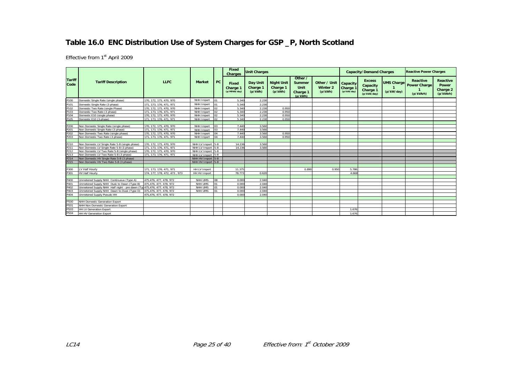# **Table 16.0 ENC Distribution Use of System Charges for GSP \_P, North Scotland**

Effective from 1st April 2009

|                       |                                                                       |                         |                   |           | <b>Fixed</b><br><b>Unit Charges</b><br><b>Charges</b> |                                 |                                          |                                                         |                                            | <b>Capacity/Demand Charges</b>             |                                                      | <b>Reactive Power Charges</b>   |                                                     |                                                          |
|-----------------------|-----------------------------------------------------------------------|-------------------------|-------------------|-----------|-------------------------------------------------------|---------------------------------|------------------------------------------|---------------------------------------------------------|--------------------------------------------|--------------------------------------------|------------------------------------------------------|---------------------------------|-----------------------------------------------------|----------------------------------------------------------|
| <b>Tariff</b><br>Code | <b>Tariff Description</b>                                             | <b>LLFC</b>             | <b>Market</b>     | <b>PC</b> | <b>Fixed</b><br>Charge 1<br>(p/MPAN/day)              | Day Unit<br>Charge 1<br>(p/kWh) | <b>Night Unit</b><br>Charge 1<br>(p/kWh) | Other /<br><b>Summer</b><br>Unit<br>Charge 1<br>(p/kWh) | Other / Unit<br><b>Winter 2</b><br>(p/kWh) | <b>Capacity</b><br>Charge 1<br>(p/kVA/day) | <b>Excess</b><br>Capacity<br>Charge 1<br>(p/kVA/day) | <b>UMS Charge</b><br>(p/kW/day) | <b>Reactive</b><br><b>Power Charge</b><br>(p/kVArh) | <b>Reactive</b><br><b>Power</b><br>Charge 2<br>(p/kVArh) |
| P100                  | Domestic Single Rate (single phase)                                   | 170. 172. 175. 470. 970 | NHH Import        |           | 5.340                                                 | 2.230                           |                                          |                                                         |                                            |                                            |                                                      |                                 |                                                     |                                                          |
| P101                  | Domestic Single Rate (3 phase)                                        | 171.173.176.471.971     | NHH Import        |           | 5.340                                                 | 2.230                           |                                          |                                                         |                                            |                                            |                                                      |                                 |                                                     |                                                          |
| P102                  | Domestic Two Rate (single Phase)                                      | 170. 172. 175. 470. 970 | NHH Import        | 02        | 5.340                                                 | 2.230                           | 0.950                                    |                                                         |                                            |                                            |                                                      |                                 |                                                     |                                                          |
| P103                  | Domestic Two Rate (3 phase)                                           | 171.173.176.471.971     | NHH Import        | 02        | 5.340                                                 | 2.230                           | 0.950                                    |                                                         |                                            |                                            |                                                      |                                 |                                                     |                                                          |
| P104                  | Domestic E10 (single phase)                                           | 170, 172, 175, 470, 970 | NHH Import        | $02\,$    | 5.340                                                 | 2.230                           | 0.950                                    |                                                         |                                            |                                            |                                                      |                                 |                                                     |                                                          |
| P105                  | Domestic E10 (3 phase)                                                | 171, 173, 176, 471, 971 | NHH Import        |           | 5.34                                                  | 2.230                           | 0.950                                    |                                                         |                                            |                                            |                                                      |                                 |                                                     |                                                          |
|                       |                                                                       |                         |                   |           |                                                       |                                 |                                          |                                                         |                                            |                                            |                                                      |                                 |                                                     |                                                          |
| P200                  | Non Domestic Single Rate (single phase)                               | 170. 172. 175. 470. 970 | NHH Import        | 03        | 7.440                                                 | 3.560                           |                                          |                                                         |                                            |                                            |                                                      |                                 |                                                     |                                                          |
| P201                  | Non Domestic Single Rate (3 phase)                                    | 171.173.176.471.971     | NHH Import        | 03        | 7.440                                                 | 3.560                           |                                          |                                                         |                                            |                                            |                                                      |                                 |                                                     |                                                          |
| P202                  | Non Domestic Two Rate (single phase)                                  | 170. 172. 175. 470. 970 | NHH Import        | 04        | 7.440                                                 | 3.560                           | 0.950                                    |                                                         |                                            |                                            |                                                      |                                 |                                                     |                                                          |
| P203                  | Non Domestic Two Rate (3 phase)                                       | 171, 173, 176, 471, 971 | NHH Import        | 04        | 7.44                                                  | 3.560                           | 0.950                                    |                                                         |                                            |                                            |                                                      |                                 |                                                     |                                                          |
|                       |                                                                       |                         |                   |           |                                                       |                                 |                                          |                                                         |                                            |                                            |                                                      |                                 |                                                     |                                                          |
| P210                  | Non Domestic LV Single Rate 5-8 (single phase)                        | 170.172.175.470.970     | NHH LV Import 5-8 |           | 14.236                                                | 3.560                           |                                          |                                                         |                                            |                                            |                                                      |                                 |                                                     |                                                          |
| P211                  | Non Domestic LV Single Rate 5-8 (3 phase)                             | 171. 173. 176. 471. 971 | NHH LV Import 5-8 |           | 14.236                                                | 3.560                           |                                          |                                                         |                                            |                                            |                                                      |                                 |                                                     |                                                          |
| P212                  | Non Domestic LV Two Rate 5-8 (single phase)                           | 170. 172. 175. 470. 970 | NHH LV Import 5-8 |           |                                                       |                                 |                                          |                                                         |                                            |                                            |                                                      |                                 |                                                     |                                                          |
| P213                  | Non Domestic LV Two Rate 5-8 (3 phase)                                | 171, 173, 176, 471, 971 | NHH LV Import 5-8 |           |                                                       |                                 |                                          |                                                         |                                            |                                            |                                                      |                                 |                                                     |                                                          |
| P214                  | Non Domestic HV Single Rate 5-8 (3 phase)                             |                         | NHH HV Import 5-8 |           |                                                       |                                 |                                          |                                                         |                                            |                                            |                                                      |                                 |                                                     |                                                          |
| P215                  | Non Domestic HV Two Rate 5-8 (3 phase)                                |                         | NHH HV Import 5-8 |           |                                                       |                                 |                                          |                                                         |                                            |                                            |                                                      |                                 |                                                     |                                                          |
|                       |                                                                       |                         |                   |           |                                                       |                                 |                                          |                                                         |                                            |                                            |                                                      |                                 |                                                     |                                                          |
| P300                  | LV Half Hourly                                                        | 171, 173, 176, 471, 971 | HH LV Import      |           | 11.375                                                |                                 |                                          | 0.890                                                   | 0.950                                      | 5.786                                      |                                                      |                                 |                                                     |                                                          |
| P301                  | <b>HV Half Hourly</b>                                                 | 174.177.178.472.473.973 | HH HV Import      |           | 78.773                                                | 0.620                           |                                          |                                                         |                                            | 4.668                                      |                                                      |                                 |                                                     |                                                          |
|                       |                                                                       |                         |                   |           |                                                       |                                 |                                          |                                                         |                                            |                                            |                                                      |                                 |                                                     |                                                          |
| P400                  | Unmetered Supply NHH Continuous (Type A)                              | 475.476, 477, 478, 972  | NHH UMS           | 80        | 0.000                                                 | 2.040                           |                                          |                                                         |                                            |                                            |                                                      |                                 |                                                     |                                                          |
| P401                  | Unmetered Supply NHH Dusk to Dawn (Type B)                            | 475,476, 477, 478, 972  | NHH UMS           | 01        | 0.00                                                  | 2.040                           |                                          |                                                         |                                            |                                            |                                                      |                                 |                                                     |                                                          |
| P402                  | Unmetered Supply NHH Half night - pre dawn (Typ475,476, 477, 478, 972 |                         | NHH UMS           |           | 0.00                                                  | 2.040                           |                                          |                                                         |                                            |                                            |                                                      |                                 |                                                     |                                                          |
| P403                  | Unmetered Supply NHH Dawn to Dusk (Type D)                            | 475.476, 477, 478, 972  | NHH UMS           |           | 0.000                                                 | 2.040                           |                                          |                                                         |                                            |                                            |                                                      |                                 |                                                     |                                                          |
| P404                  | <b>Unmetered Supply Pseudo HH</b>                                     | 475.476, 477, 478, 972  |                   |           | 0.001                                                 | 2.040                           |                                          |                                                         |                                            |                                            |                                                      |                                 |                                                     |                                                          |
|                       |                                                                       |                         |                   |           |                                                       |                                 |                                          |                                                         |                                            |                                            |                                                      |                                 |                                                     |                                                          |
| P500                  | <b>NHH Domestic Generation Export</b>                                 |                         |                   |           |                                                       |                                 |                                          |                                                         |                                            |                                            |                                                      |                                 |                                                     |                                                          |
| P501                  | <b>NHH Non Domestic Generation Export</b>                             |                         |                   |           |                                                       |                                 |                                          |                                                         |                                            |                                            |                                                      |                                 |                                                     |                                                          |
| P503                  | <b>HH LV Generation Export</b>                                        |                         |                   |           |                                                       |                                 |                                          |                                                         |                                            | 1.676                                      |                                                      |                                 |                                                     |                                                          |
| P504                  | <b>HH HV Generation Export</b>                                        |                         |                   |           |                                                       |                                 |                                          |                                                         |                                            | 1.676                                      |                                                      |                                 |                                                     |                                                          |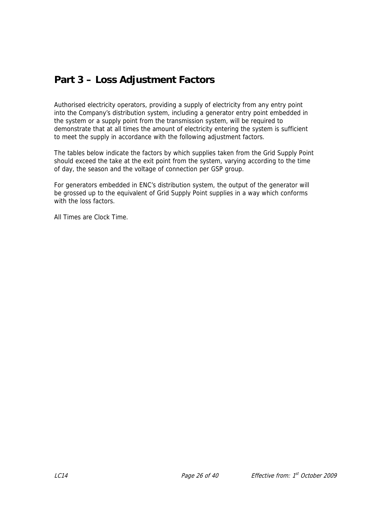# **Part 3 – Loss Adjustment Factors**

Authorised electricity operators, providing a supply of electricity from any entry point into the Company's distribution system, including a generator entry point embedded in the system or a supply point from the transmission system, will be required to demonstrate that at all times the amount of electricity entering the system is sufficient to meet the supply in accordance with the following adjustment factors.

The tables below indicate the factors by which supplies taken from the Grid Supply Point should exceed the take at the exit point from the system, varying according to the time of day, the season and the voltage of connection per GSP group.

For generators embedded in ENC's distribution system, the output of the generator will be grossed up to the equivalent of Grid Supply Point supplies in a way which conforms with the loss factors.

All Times are Clock Time.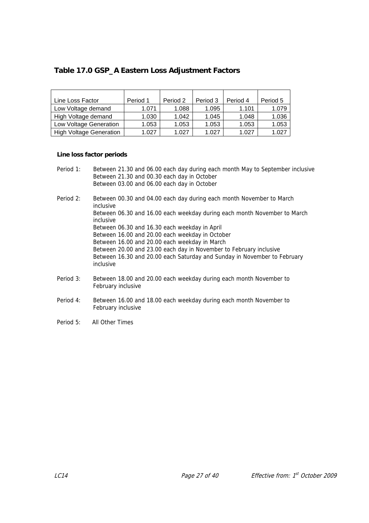# **Table 17.0 GSP\_A Eastern Loss Adjustment Factors**

| Line Loss Factor               | Period 1 | Period 2 | Period 3 | Period 4 | Period 5 |
|--------------------------------|----------|----------|----------|----------|----------|
| Low Voltage demand             | 1.071    | 1.088    | 1.095    | 1.101    | 1.079    |
| High Voltage demand            | 1.030    | 1.042    | 1.045    | 1.048    | 1.036    |
| Low Voltage Generation         | 1.053    | 1.053    | 1.053    | 1.053    | 1.053    |
| <b>High Voltage Generation</b> | 1.027    | 1.027    | 1.027    | 1.027    | 1.027    |

#### **Line loss factor periods**

| Period 1: | Between 21.30 and 06.00 each day during each month May to September inclusive<br>Between 21.30 and 00.30 each day in October<br>Between 03.00 and 06.00 each day in October |
|-----------|-----------------------------------------------------------------------------------------------------------------------------------------------------------------------------|
| Period 2: | Between 00.30 and 04.00 each day during each month November to March<br>inclusive                                                                                           |
|           | Between 06.30 and 16.00 each weekday during each month November to March<br>inclusive                                                                                       |
|           | Between 06.30 and 16.30 each weekday in April                                                                                                                               |
|           | Between 16.00 and 20.00 each weekday in October                                                                                                                             |
|           | Between 16.00 and 20.00 each weekday in March                                                                                                                               |
|           | Between 20.00 and 23.00 each day in November to February inclusive                                                                                                          |
|           | Between 16.30 and 20.00 each Saturday and Sunday in November to February<br>inclusive                                                                                       |
| Period 3: | Between 18.00 and 20.00 each weekday during each month November to<br>February inclusive                                                                                    |
| Period 4: | Between 16.00 and 18.00 each weekday during each month November to<br>February inclusive                                                                                    |
|           |                                                                                                                                                                             |

Period 5: All Other Times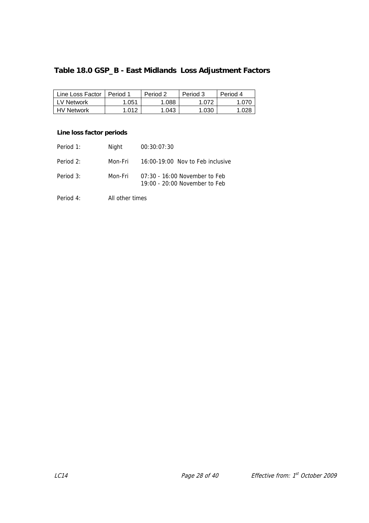# **Table 18.0 GSP\_B - East Midlands Loss Adjustment Factors**

| Line Loss Factor  | Period 1 | Period 2 | Period 3 | Period 4 |
|-------------------|----------|----------|----------|----------|
| l LV Network      | .051     | 1.088    | 1.072    |          |
| <b>HV Network</b> | .012     | 1.043    | .030     |          |

| Period 1:   | Night           | 00:30:07:30                                                        |
|-------------|-----------------|--------------------------------------------------------------------|
| Period 2:   | Mon-Fri         | 16:00-19:00 Nov to Feb inclusive                                   |
| Period $3:$ | Mon-Fri         | $07:30 - 16:00$ November to Feb<br>$19:00 - 20:00$ November to Feb |
| Period 4:   | All other times |                                                                    |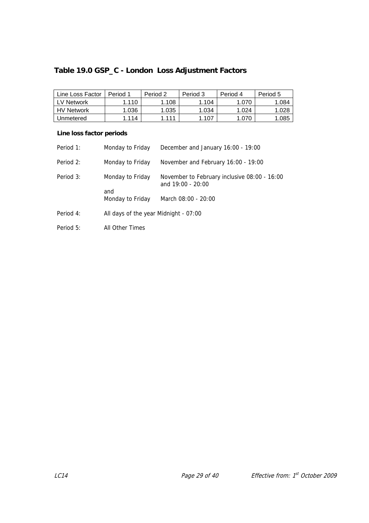# **Table 19.0 GSP\_C - London Loss Adjustment Factors**

| Line Loss Factor  | Period 1 | Period 2 | Period 3 | Period 4 | Period 5 |
|-------------------|----------|----------|----------|----------|----------|
| LV Network        | 1.110    | 1.108    | 1.104    | 1.070    | 1.084    |
| <b>HV Network</b> | 1.036    | 1.035    | 1.034    | 1.024    | 1.028    |
| Unmetered         | 1.114    | 1 1 1 1  | 1.107    | 1.070    | 1.085    |

| Period 1: | Monday to Friday                      | December and January 16:00 - 19:00                                  |
|-----------|---------------------------------------|---------------------------------------------------------------------|
| Period 2: | Monday to Friday                      | November and February 16:00 - 19:00                                 |
| Period 3: | Monday to Friday                      | November to February inclusive 08:00 - 16:00<br>and $19:00 - 20:00$ |
|           | and<br>Monday to Friday               | March 08:00 - 20:00                                                 |
| Period 4: | All days of the year Midnight - 07:00 |                                                                     |
| Period 5: | All Other Times                       |                                                                     |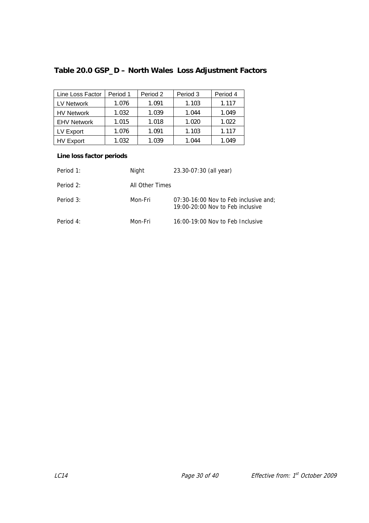# **Table 20.0 GSP\_D – North Wales Loss Adjustment Factors**

| Line Loss Factor   | Period 1 | Period 2 | Period 3 | Period 4 |
|--------------------|----------|----------|----------|----------|
| LV Network         | 1.076    | 1.091    | 1.103    | 1.117    |
| <b>HV Network</b>  | 1.032    | 1.039    | 1.044    | 1.049    |
| <b>EHV Network</b> | 1.015    | 1.018    | 1.020    | 1.022    |
| LV Export          | 1.076    | 1.091    | 1.103    | 1.117    |
| <b>HV Export</b>   | 1.032    | 1.039    | 1.044    | 1.049    |

| Period 1: | Night           | 23.30-07:30 (all year)                                                      |
|-----------|-----------------|-----------------------------------------------------------------------------|
| Period 2: | All Other Times |                                                                             |
| Period 3: | Mon-Fri         | 07:30-16:00 Nov to Feb inclusive and;<br>$19:00-20:00$ Nov to Feb inclusive |
| Period 4: | Mon-Fri         | 16:00-19:00 Nov to Feb Inclusive                                            |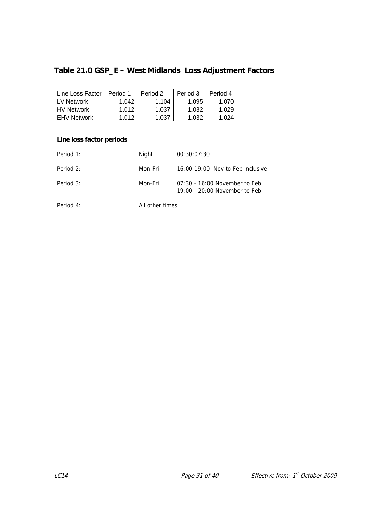# **Table 21.0 GSP\_E – West Midlands Loss Adjustment Factors**

| Line Loss Factor   | Period 1 | Period 2 | Period 3 | Period 4 |
|--------------------|----------|----------|----------|----------|
| LV Network         | 1.042    | 1.104    | 1.095    | 1.070    |
| <b>HV Network</b>  | 1.012    | 1.037    | 1.032    | 1.029    |
| <b>EHV Network</b> | 1 012    | 1.037    | 1.032    | 1 024    |

| Period 1: | Night           | 00:30:07:30                                                        |
|-----------|-----------------|--------------------------------------------------------------------|
| Period 2: | Mon-Fri         | 16:00-19:00 Nov to Feb inclusive                                   |
| Period 3: | Mon-Fri         | $07:30 - 16:00$ November to Feb<br>$19:00 - 20:00$ November to Feb |
| Period 4: | All other times |                                                                    |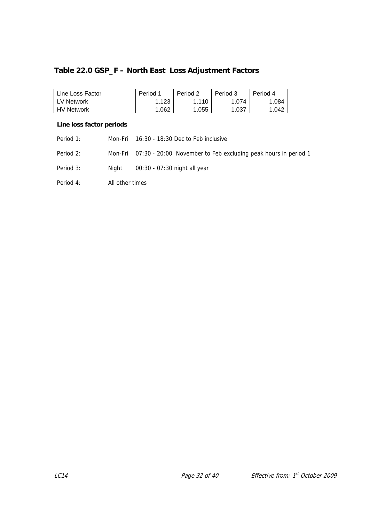# **Table 22.0 GSP\_F – North East Loss Adjustment Factors**

| Line Loss Factor | Period 1 | Period 2 | Period 3 | Period 4 |
|------------------|----------|----------|----------|----------|
| l LV Network     | i.123    | 1.110    | 1.074    | .084     |
| l HV Network     | 062. ا   | .055     | . .037   | 1.042    |

| Period 1: |                 | Mon-Fri 16:30 - 18:30 Dec to Feb inclusive                             |
|-----------|-----------------|------------------------------------------------------------------------|
| Period 2: |                 | Mon-Fri 07:30 - 20:00 November to Feb excluding peak hours in period 1 |
| Period 3: | Niaht           | 00:30 - 07:30 night all year                                           |
| Period 4: | All other times |                                                                        |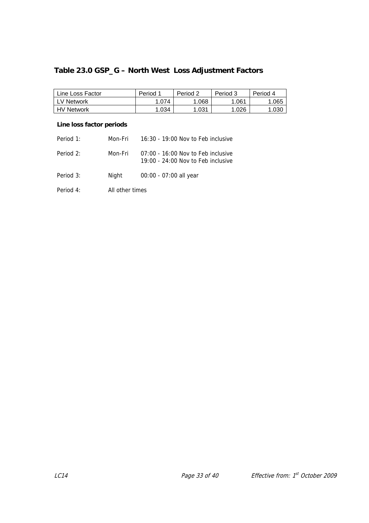# **Table 23.0 GSP\_G – North West Loss Adjustment Factors**

| Line Loss Factor  | Period 1 | Period 2 | Period 3 | Period 4 |
|-------------------|----------|----------|----------|----------|
| LV Network        | 1.074    | .068     | .061     | .065     |
| <b>HV Network</b> | 1.034    | 1.031    | 1.026    | .030     |

| Period 1: | Mon-Fri         | 16:30 - 19:00 Nov to Feb inclusive                                           |
|-----------|-----------------|------------------------------------------------------------------------------|
| Period 2: | Mon-Fri         | $07:00 - 16:00$ Nov to Feb inclusive<br>$19:00 - 24:00$ Nov to Feb inclusive |
| Period 3: | Night           | 00:00 - 07:00 all year                                                       |
| Period 4: | All other times |                                                                              |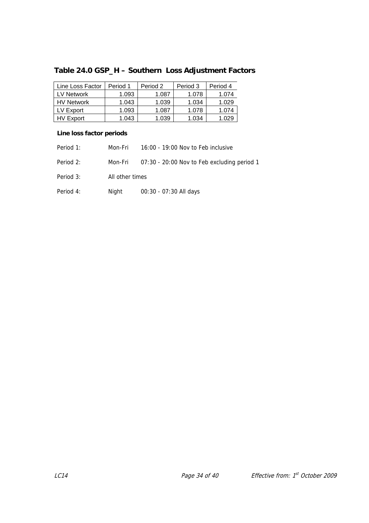# **Table 24.0 GSP\_H – Southern Loss Adjustment Factors**

| Line Loss Factor  | Period 1 | Period 2 | Period 3 | Period 4 |
|-------------------|----------|----------|----------|----------|
| LV Network        | 1.093    | 1.087    | 1.078    | 1.074    |
| <b>HV Network</b> | 1.043    | 1.039    | 1.034    | 1.029    |
| LV Export         | 1.093    | 1.087    | 1.078    | 1.074    |
| HV Export         | 1.043    | 1.039    | 1.034    |          |

| Period 1: | Mon-Fri         | $16:00 - 19:00$ Nov to Feb inclusive          |
|-----------|-----------------|-----------------------------------------------|
| Period 2: | Mon-Fri         | $07:30 - 20:00$ Nov to Feb excluding period 1 |
| Period 3: | All other times |                                               |
| Period 4: | Night           | 00:30 - 07:30 All days                        |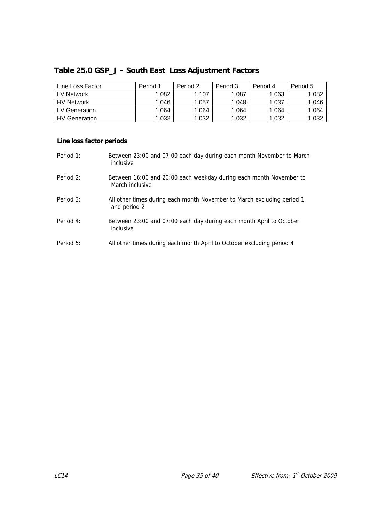|  |  | Table 25.0 GSP_J - South East Loss Adjustment Factors |  |
|--|--|-------------------------------------------------------|--|
|--|--|-------------------------------------------------------|--|

| Line Loss Factor     | Period 1 | Period 2 | Period 3 | Period 4 | Period 5 |
|----------------------|----------|----------|----------|----------|----------|
| <b>LV Network</b>    | 1.082    | 1.107    | 1.087    | 1.063    | 1.082    |
| <b>HV Network</b>    | 1.046    | 1.057    | 1.048    | 1.037    | 1.046    |
| LV Generation        | 1.064    | 1.064    | 1.064    | 1.064    | 1.064    |
| <b>HV</b> Generation | 1.032    | 1.032    | 1.032    | 1.032    | 1.032    |

| Period 1: | Between 23:00 and 07:00 each day during each month November to March<br>inclusive      |
|-----------|----------------------------------------------------------------------------------------|
| Period 2: | Between 16:00 and 20:00 each weekday during each month November to<br>March inclusive  |
| Period 3: | All other times during each month November to March excluding period 1<br>and period 2 |
| Period 4: | Between 23:00 and 07:00 each day during each month April to October<br>inclusive       |
| Period 5: | All other times during each month April to October excluding period 4                  |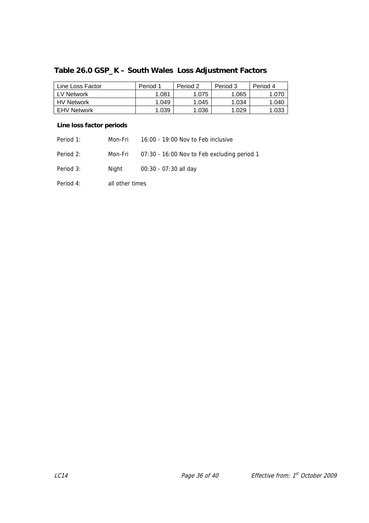# **Table 26.0 GSP\_K – South Wales Loss Adjustment Factors**

| Line Loss Factor  | Period 1 | Period 2 | Period 3 | Period 4 |
|-------------------|----------|----------|----------|----------|
| LV Network        | 1.081    | 1.075    | 1.065    | .070     |
| <b>HV Network</b> | 1.049    | 1.045    | 1.034    | 1.040    |
| EHV Network       | 1.039    | 1.036    | 1.029    | 1.033    |

| Period 1: | Mon-Fri         | 16:00 - 19:00 Nov to Feb inclusive          |
|-----------|-----------------|---------------------------------------------|
| Period 2: | Mon-Fri         | 07:30 - 16:00 Nov to Feb excluding period 1 |
| Period 3: | Night           | 00:30 - 07:30 all day                       |
| Period 4: | all other times |                                             |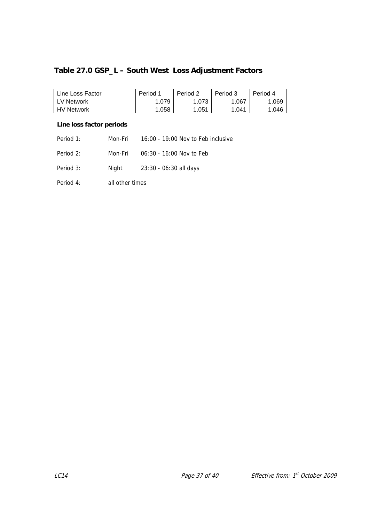# **Table 27.0 GSP\_L – South West Loss Adjustment Factors**

| Line Loss Factor  | Period 1 | Period 2 | Period 3 | Period 4 |
|-------------------|----------|----------|----------|----------|
| LV Network        | .079     | .073     | 067،،    | .069     |
| <b>HV Network</b> | .058     | 1.051    | 1.041    | 1.046    |

| Period 1: | Mon-Fri         | $16:00 - 19:00$ Nov to Feb inclusive |
|-----------|-----------------|--------------------------------------|
| Period 2: | Mon-Fri         | 06:30 - 16:00 Nov to Feb             |
| Period 3: | Night           | 23:30 - 06:30 all days               |
| Period 4: | all other times |                                      |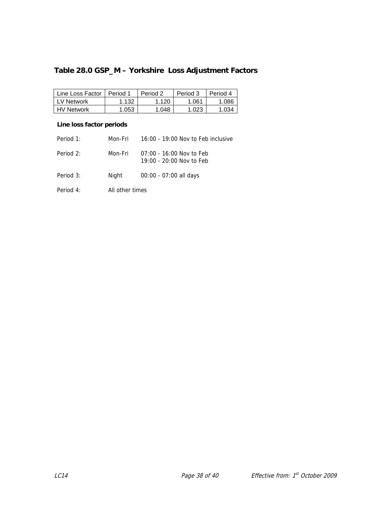# **Table 28.0 GSP\_M – Yorkshire Loss Adjustment Factors**

| Line Loss Factor I | Period 1 | Period 2 | Period 3 | Period 4 |
|--------------------|----------|----------|----------|----------|
| l LV Network       | 1.132    | 1.120    | 1.061    | 1.086    |
| <b>HV Network</b>  | 1.053    | 1.048    | 1.023    | 1.034    |

| Period 1:   | Mon-Fri         | $16:00 - 19:00$ Nov to Feb inclusive                 |
|-------------|-----------------|------------------------------------------------------|
| Period 2:   | Mon-Fri         | 07:00 - 16:00 Nov to Feb<br>19:00 - 20:00 Nov to Feb |
| Period $3:$ | Night           | 00:00 - 07:00 all days                               |
| Period 4:   | All other times |                                                      |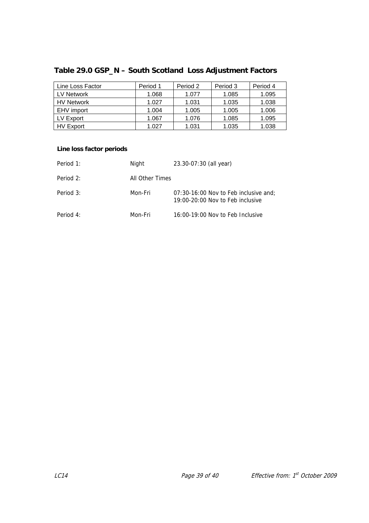| Line Loss Factor  | Period 1 | Period 2 | Period 3 | Period 4 |
|-------------------|----------|----------|----------|----------|
| LV Network        | 1.068    | 1.077    | 1.085    | 1.095    |
| <b>HV Network</b> | 1.027    | 1.031    | 1.035    | 1.038    |
| EHV import        | 1.004    | 1.005    | 1.005    | 1.006    |
| LV Export         | 1.067    | 1.076    | 1.085    | 1.095    |
| <b>HV Export</b>  | 1.027    | 1.031    | 1.035    | 1.038    |

# **Table 29.0 GSP\_N – South Scotland Loss Adjustment Factors**

| Period 1: | Night           | 23.30-07:30 (all year)                                                      |
|-----------|-----------------|-----------------------------------------------------------------------------|
| Period 2: | All Other Times |                                                                             |
| Period 3: | Mon-Fri         | 07:30-16:00 Nov to Feb inclusive and;<br>$19:00-20:00$ Nov to Feb inclusive |
| Period 4: | Mon-Fri         | 16:00-19:00 Nov to Feb Inclusive                                            |